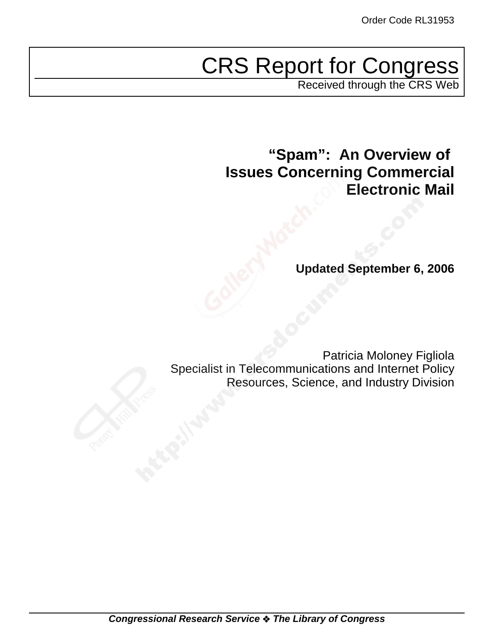# CRS Report for Congress

Received through the CRS Web

## **"Spam": An Overview of Issues Concerning Commercial Electronic Mail**

**Updated September 6, 2006**

Patricia Moloney Figliola Specialist in Telecommunications and Internet Policy Resources, Science, and Industry Division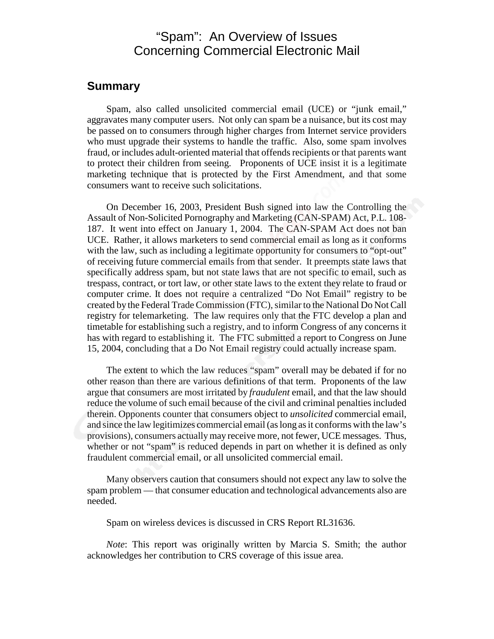## "Spam": An Overview of Issues Concerning Commercial Electronic Mail

### **Summary**

Spam, also called unsolicited commercial email (UCE) or "junk email," aggravates many computer users. Not only can spam be a nuisance, but its cost may be passed on to consumers through higher charges from Internet service providers who must upgrade their systems to handle the traffic. Also, some spam involves fraud, or includes adult-oriented material that offends recipients or that parents want to protect their children from seeing. Proponents of UCE insist it is a legitimate marketing technique that is protected by the First Amendment, and that some consumers want to receive such solicitations.

On December 16, 2003, President Bush signed into law the Controlling the Assault of Non-Solicited Pornography and Marketing (CAN-SPAM) Act, P.L. 108- 187. It went into effect on January 1, 2004. The CAN-SPAM Act does not ban UCE. Rather, it allows marketers to send commercial email as long as it conforms with the law, such as including a legitimate opportunity for consumers to "opt-out" of receiving future commercial emails from that sender. It preempts state laws that specifically address spam, but not state laws that are not specific to email, such as trespass, contract, or tort law, or other state laws to the extent they relate to fraud or computer crime. It does not require a centralized "Do Not Email" registry to be created by the Federal Trade Commission (FTC), similar to the National Do Not Call registry for telemarketing. The law requires only that the FTC develop a plan and timetable for establishing such a registry, and to inform Congress of any concerns it has with regard to establishing it. The FTC submitted a report to Congress on June 15, 2004, concluding that a Do Not Email registry could actually increase spam.

The extent to which the law reduces "spam" overall may be debated if for no other reason than there are various definitions of that term. Proponents of the law argue that consumers are most irritated by *fraudulent* email, and that the law should reduce the volume of such email because of the civil and criminal penalties included therein. Opponents counter that consumers object to *unsolicited* commercial email, and since the law legitimizes commercial email (as long as it conforms with the law's provisions), consumers actually may receive more, not fewer, UCE messages. Thus, whether or not "spam" is reduced depends in part on whether it is defined as only fraudulent commercial email, or all unsolicited commercial email.

Many observers caution that consumers should not expect any law to solve the spam problem — that consumer education and technological advancements also are needed.

Spam on wireless devices is discussed in CRS Report RL31636.

*Note*: This report was originally written by Marcia S. Smith; the author acknowledges her contribution to CRS coverage of this issue area.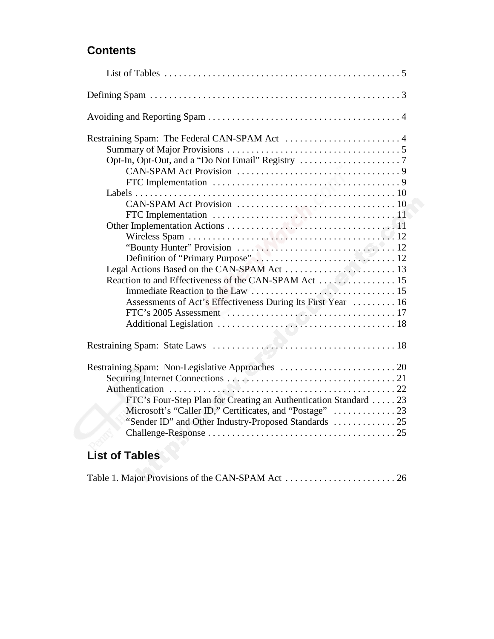## **Contents**

| Assessments of Act's Effectiveness During Its First Year  16                                                                                                                          |
|---------------------------------------------------------------------------------------------------------------------------------------------------------------------------------------|
|                                                                                                                                                                                       |
| FTC's Four-Step Plan for Creating an Authentication Standard  23<br>Microsoft's "Caller ID," Certificates, and "Postage"  23<br>"Sender ID" and Other Industry-Proposed Standards  25 |

# **List of Tables**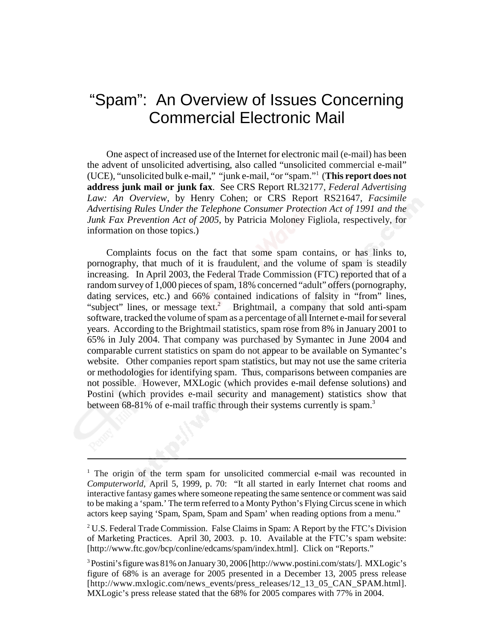## "Spam": An Overview of Issues Concerning Commercial Electronic Mail

One aspect of increased use of the Internet for electronic mail (e-mail) has been the advent of unsolicited advertising, also called "unsolicited commercial e-mail" (UCE), "unsolicited bulk e-mail," "junk e-mail, "or "spam."1 (**This report does not address junk mail or junk fax**. See CRS Report RL32177, *Federal Advertising Law: An Overview*, by Henry Cohen; or CRS Report RS21647, *Facsimile Advertising Rules Under the Telephone Consumer Protection Act of 1991 and the Junk Fax Prevention Act of 2005*, by Patricia Moloney Figliola, respectively, for information on those topics.)

Complaints focus on the fact that some spam contains, or has links to, pornography, that much of it is fraudulent, and the volume of spam is steadily increasing. In April 2003, the Federal Trade Commission (FTC) reported that of a random survey of 1,000 pieces of spam, 18% concerned "adult" offers (pornography, dating services, etc.) and 66% contained indications of falsity in "from" lines, "subject" lines, or message text.<sup>2</sup> Brightmail, a company that sold anti-spam software, tracked the volume of spam as a percentage of all Internet e-mail for several years. According to the Brightmail statistics, spam rose from 8% in January 2001 to 65% in July 2004. That company was purchased by Symantec in June 2004 and comparable current statistics on spam do not appear to be available on Symantec's website. Other companies report spam statistics, but may not use the same criteria or methodologies for identifying spam. Thus, comparisons between companies are not possible. However, MXLogic (which provides e-mail defense solutions) and Postini (which provides e-mail security and management) statistics show that between 68-81% of e-mail traffic through their systems currently is spam.<sup>3</sup>

<sup>&</sup>lt;sup>1</sup> The origin of the term spam for unsolicited commercial e-mail was recounted in *Computerworld*, April 5, 1999, p. 70: "It all started in early Internet chat rooms and interactive fantasy games where someone repeating the same sentence or comment was said to be making a 'spam.' The term referred to a Monty Python's Flying Circus scene in which actors keep saying 'Spam, Spam, Spam and Spam' when reading options from a menu."

<sup>&</sup>lt;sup>2</sup> U.S. Federal Trade Commission. False Claims in Spam: A Report by the FTC's Division of Marketing Practices. April 30, 2003. p. 10. Available at the FTC's spam website: [http://www.ftc.gov/bcp/conline/edcams/spam/index.html]. Click on "Reports."

<sup>&</sup>lt;sup>3</sup> Postini's figure was 81% on January 30, 2006 [http://www.postini.com/stats/]. MXLogic's figure of 68% is an average for 2005 presented in a December 13, 2005 press release [http://www.mxlogic.com/news\_events/press\_releases/12\_13\_05\_CAN\_SPAM.html]. MXLogic's press release stated that the 68% for 2005 compares with 77% in 2004.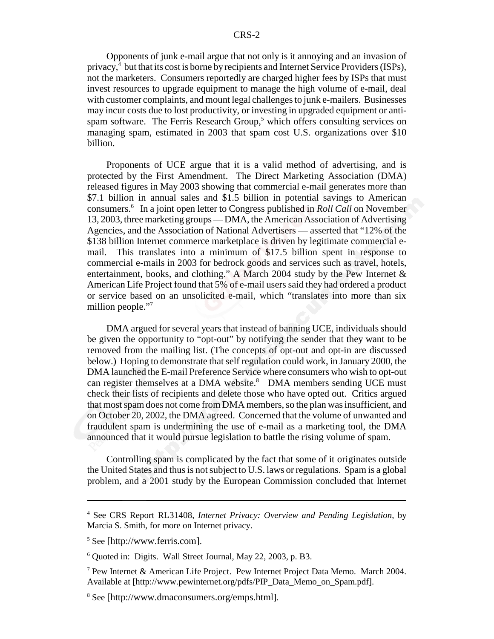Opponents of junk e-mail argue that not only is it annoying and an invasion of privacy,<sup>4</sup> but that its cost is borne by recipients and Internet Service Providers (ISPs), not the marketers. Consumers reportedly are charged higher fees by ISPs that must invest resources to upgrade equipment to manage the high volume of e-mail, deal with customer complaints, and mount legal challenges to junk e-mailers. Businesses may incur costs due to lost productivity, or investing in upgraded equipment or antispam software. The Ferris Research Group,<sup>5</sup> which offers consulting services on managing spam, estimated in 2003 that spam cost U.S. organizations over \$10 billion.

Proponents of UCE argue that it is a valid method of advertising, and is protected by the First Amendment. The Direct Marketing Association (DMA) released figures in May 2003 showing that commercial e-mail generates more than \$7.1 billion in annual sales and \$1.5 billion in potential savings to American consumers.6 In a joint open letter to Congress published in *Roll Call* on November 13, 2003, three marketing groups — DMA, the American Association of Advertising Agencies, and the Association of National Advertisers — asserted that "12% of the \$138 billion Internet commerce marketplace is driven by legitimate commercial email. This translates into a minimum of \$17.5 billion spent in response to commercial e-mails in 2003 for bedrock goods and services such as travel, hotels, entertainment, books, and clothing." A March 2004 study by the Pew Internet & American Life Project found that 5% of e-mail users said they had ordered a product or service based on an unsolicited e-mail, which "translates into more than six million people."

DMA argued for several years that instead of banning UCE, individuals should be given the opportunity to "opt-out" by notifying the sender that they want to be removed from the mailing list. (The concepts of opt-out and opt-in are discussed below.) Hoping to demonstrate that self regulation could work, in January 2000, the DMA launched the E-mail Preference Service where consumers who wish to opt-out can register themselves at a DMA website.<sup>8</sup> DMA members sending UCE must check their lists of recipients and delete those who have opted out. Critics argued that most spam does not come from DMA members, so the plan was insufficient, and on October 20, 2002, the DMA agreed. Concerned that the volume of unwanted and fraudulent spam is undermining the use of e-mail as a marketing tool, the DMA announced that it would pursue legislation to battle the rising volume of spam.

Controlling spam is complicated by the fact that some of it originates outside the United States and thus is not subject to U.S. laws or regulations. Spam is a global problem, and a 2001 study by the European Commission concluded that Internet

<sup>4</sup> See CRS Report RL31408, *Internet Privacy: Overview and Pending Legislation*, by Marcia S. Smith, for more on Internet privacy.

<sup>5</sup> See [http://www.ferris.com].

<sup>6</sup> Quoted in: Digits. Wall Street Journal, May 22, 2003, p. B3.

<sup>&</sup>lt;sup>7</sup> Pew Internet & American Life Project. Pew Internet Project Data Memo. March 2004. Available at [http://www.pewinternet.org/pdfs/PIP\_Data\_Memo\_on\_Spam.pdf].

<sup>8</sup> See [http://www.dmaconsumers.org/emps.html].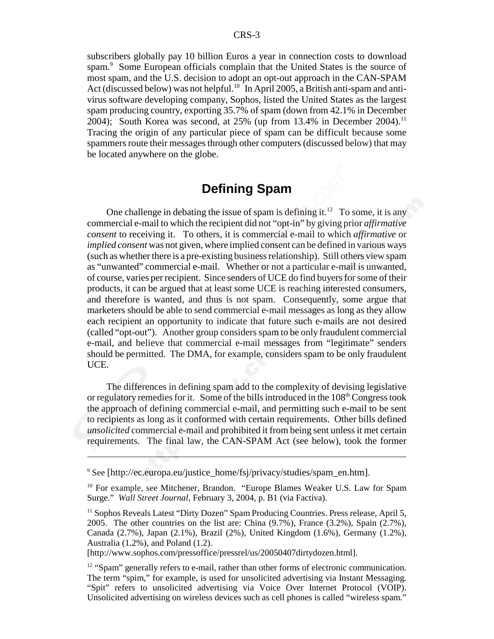subscribers globally pay 10 billion Euros a year in connection costs to download spam.<sup>9</sup> Some European officials complain that the United States is the source of most spam, and the U.S. decision to adopt an opt-out approach in the CAN-SPAM Act (discussed below) was not helpful.<sup>10</sup> In April 2005, a British anti-spam and antivirus software developing company, Sophos, listed the United States as the largest spam producing country, exporting 35.7% of spam (down from 42.1% in December 2004); South Korea was second, at  $25\%$  (up from 13.4% in December 2004).<sup>11</sup> Tracing the origin of any particular piece of spam can be difficult because some spammers route their messages through other computers (discussed below) that may be located anywhere on the globe.

## **Defining Spam**

One challenge in debating the issue of spam is defining it.<sup>12</sup> To some, it is any commercial e-mail to which the recipient did not "opt-in" by giving prior *affirmative consent* to receiving it. To others, it is commercial e-mail to which *affirmative* or *implied consent* was not given, where implied consent can be defined in various ways (such as whether there is a pre-existing business relationship). Still others view spam as "unwanted" commercial e-mail. Whether or not a particular e-mail is unwanted, of course, varies per recipient. Since senders of UCE do find buyers for some of their products, it can be argued that at least some UCE is reaching interested consumers, and therefore is wanted, and thus is not spam. Consequently, some argue that marketers should be able to send commercial e-mail messages as long as they allow each recipient an opportunity to indicate that future such e-mails are not desired (called "opt-out"). Another group considers spam to be only fraudulent commercial e-mail, and believe that commercial e-mail messages from "legitimate" senders should be permitted. The DMA, for example, considers spam to be only fraudulent UCE.

The differences in defining spam add to the complexity of devising legislative or regulatory remedies for it. Some of the bills introduced in the  $108<sup>th</sup>$  Congress took the approach of defining commercial e-mail, and permitting such e-mail to be sent to recipients as long as it conformed with certain requirements. Other bills defined *unsolicited* commercial e-mail and prohibited it from being sent unless it met certain requirements. The final law, the CAN-SPAM Act (see below), took the former

[http://www.sophos.com/pressoffice/pressrel/us/20050407dirtydozen.html].

<sup>9</sup> See [http://ec.europa.eu/justice\_home/fsj/privacy/studies/spam\_en.htm].

<sup>&</sup>lt;sup>10</sup> For example, see Mitchener, Brandon. "Europe Blames Weaker U.S. Law for Spam Surge." *Wall Street Journal*, February 3, 2004, p. B1 (via Factiva).

<sup>&</sup>lt;sup>11</sup> Sophos Reveals Latest "Dirty Dozen" Spam Producing Countries. Press release, April 5, 2005. The other countries on the list are: China (9.7%), France (3.2%), Spain (2.7%), Canada (2.7%), Japan (2.1%), Brazil (2%), United Kingdom (1.6%), Germany (1.2%), Australia (1.2%), and Poland (1.2).

<sup>&</sup>lt;sup>12</sup> "Spam" generally refers to e-mail, rather than other forms of electronic communication. The term "spim," for example, is used for unsolicited advertising via Instant Messaging. "Spit" refers to unsolicited advertising via Voice Over Internet Protocol (VOIP). Unsolicited advertising on wireless devices such as cell phones is called "wireless spam."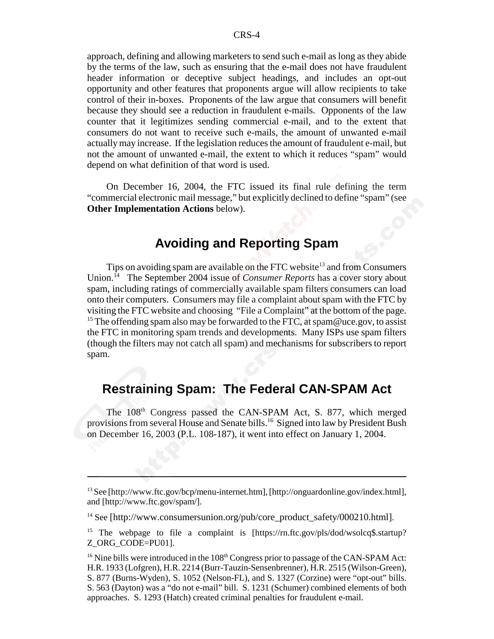approach, defining and allowing marketers to send such e-mail as long as they abide by the terms of the law, such as ensuring that the e-mail does not have fraudulent header information or deceptive subject headings, and includes an opt-out opportunity and other features that proponents argue will allow recipients to take control of their in-boxes. Proponents of the law argue that consumers will benefit because they should see a reduction in fraudulent e-mails. Opponents of the law counter that it legitimizes sending commercial e-mail, and to the extent that consumers do not want to receive such e-mails, the amount of unwanted e-mail actually may increase. If the legislation reduces the amount of fraudulent e-mail, but not the amount of unwanted e-mail, the extent to which it reduces "spam" would depend on what definition of that word is used.

On December 16, 2004, the FTC issued its final rule defining the term "commercial electronic mail message," but explicitly declined to define "spam" (see **Other Implementation Actions** below).

## **Avoiding and Reporting Spam**

Tips on avoiding spam are available on the FTC website<sup>13</sup> and from Consumers Union.<sup>14</sup> The September 2004 issue of *Consumer Reports* has a cover story about spam, including ratings of commercially available spam filters consumers can load onto their computers. Consumers may file a complaint about spam with the FTC by visiting the FTC website and choosing "File a Complaint" at the bottom of the page. <sup>15</sup> The offending spam also may be forwarded to the FTC, at spam@uce.gov, to assist the FTC in monitoring spam trends and developments. Many ISPs use spam filters (though the filters may not catch all spam) and mechanisms for subscribers to report spam.

## **Restraining Spam: The Federal CAN-SPAM Act**

The 108<sup>th</sup> Congress passed the CAN-SPAM Act, S. 877, which merged provisions from several House and Senate bills.<sup>16</sup> Signed into law by President Bush on December 16, 2003 (P.L. 108-187), it went into effect on January 1, 2004.

<sup>13</sup> See [http://www.ftc.gov/bcp/menu-internet.htm], [http://onguardonline.gov/index.html], and [http://www.ftc.gov/spam/].

<sup>&</sup>lt;sup>14</sup> See [http://www.consumersunion.org/pub/core\_product\_safety/000210.html].

<sup>&</sup>lt;sup>15</sup> The webpage to file a complaint is [https://rn.ftc.gov/pls/dod/wsolcq\$.startup? Z\_ORG\_CODE=PU01].

 $16$  Nine bills were introduced in the  $108<sup>th</sup>$  Congress prior to passage of the CAN-SPAM Act: H.R. 1933 (Lofgren), H.R. 2214 (Burr-Tauzin-Sensenbrenner), H.R. 2515 (Wilson-Green), S. 877 (Burns-Wyden), S. 1052 (Nelson-FL), and S. 1327 (Corzine) were "opt-out" bills. S. 563 (Dayton) was a "do not e-mail" bill. S. 1231 (Schumer) combined elements of both approaches. S. 1293 (Hatch) created criminal penalties for fraudulent e-mail.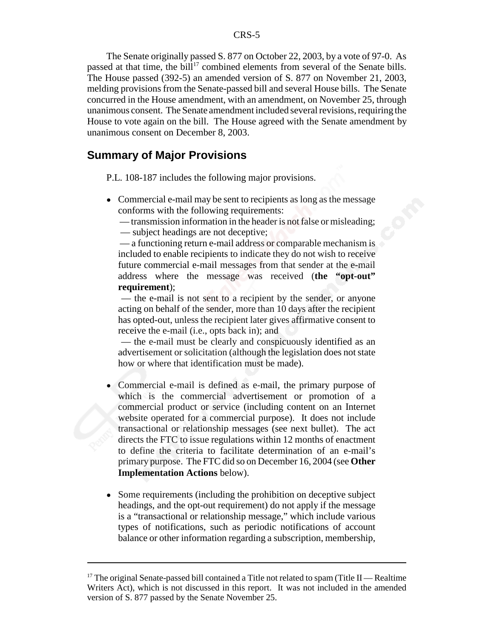The Senate originally passed S. 877 on October 22, 2003, by a vote of 97-0. As passed at that time, the bill<sup>17</sup> combined elements from several of the Senate bills. The House passed (392-5) an amended version of S. 877 on November 21, 2003, melding provisions from the Senate-passed bill and several House bills. The Senate concurred in the House amendment, with an amendment, on November 25, through unanimous consent. The Senate amendment included several revisions, requiring the House to vote again on the bill. The House agreed with the Senate amendment by unanimous consent on December 8, 2003.

#### **Summary of Major Provisions**

P.L. 108-187 includes the following major provisions.

- Commercial e-mail may be sent to recipients as long as the message conforms with the following requirements:
	- transmission information in the header is not false or misleading;
	- subject headings are not deceptive;

 — a functioning return e-mail address or comparable mechanism is included to enable recipients to indicate they do not wish to receive future commercial e-mail messages from that sender at the e-mail address where the message was received (**the "opt-out" requirement**);

— the e-mail is not sent to a recipient by the sender, or anyone acting on behalf of the sender, more than 10 days after the recipient has opted-out, unless the recipient later gives affirmative consent to receive the e-mail (i.e., opts back in); and

 — the e-mail must be clearly and conspicuously identified as an advertisement or solicitation (although the legislation does not state how or where that identification must be made).

- ! Commercial e-mail is defined as e-mail, the primary purpose of which is the commercial advertisement or promotion of a commercial product or service (including content on an Internet website operated for a commercial purpose). It does not include transactional or relationship messages (see next bullet). The act directs the FTC to issue regulations within 12 months of enactment to define the criteria to facilitate determination of an e-mail's primary purpose. The FTC did so on December 16, 2004 (see **Other Implementation Actions** below).
- Some requirements (including the prohibition on deceptive subject headings, and the opt-out requirement) do not apply if the message is a "transactional or relationship message," which include various types of notifications, such as periodic notifications of account balance or other information regarding a subscription, membership,

<sup>&</sup>lt;sup>17</sup> The original Senate-passed bill contained a Title not related to spam (Title II — Realtime Writers Act), which is not discussed in this report. It was not included in the amended version of S. 877 passed by the Senate November 25.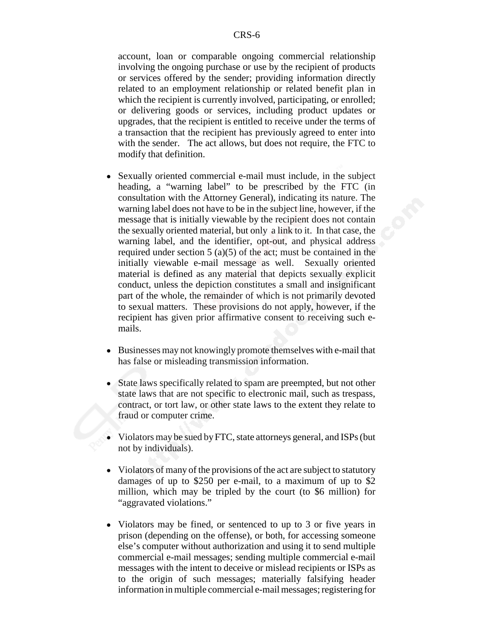account, loan or comparable ongoing commercial relationship involving the ongoing purchase or use by the recipient of products or services offered by the sender; providing information directly related to an employment relationship or related benefit plan in which the recipient is currently involved, participating, or enrolled; or delivering goods or services, including product updates or upgrades, that the recipient is entitled to receive under the terms of a transaction that the recipient has previously agreed to enter into with the sender. The act allows, but does not require, the FTC to modify that definition.

- Sexually oriented commercial e-mail must include, in the subject heading, a "warning label" to be prescribed by the FTC (in consultation with the Attorney General), indicating its nature. The warning label does not have to be in the subject line, however, if the message that is initially viewable by the recipient does not contain the sexually oriented material, but only a link to it. In that case, the warning label, and the identifier, opt-out, and physical address required under section 5 (a)(5) of the act; must be contained in the initially viewable e-mail message as well. Sexually oriented material is defined as any material that depicts sexually explicit conduct, unless the depiction constitutes a small and insignificant part of the whole, the remainder of which is not primarily devoted to sexual matters. These provisions do not apply, however, if the recipient has given prior affirmative consent to receiving such emails.
- Businesses may not knowingly promote themselves with e-mail that has false or misleading transmission information.
- State laws specifically related to spam are preempted, but not other state laws that are not specific to electronic mail, such as trespass, contract, or tort law, or other state laws to the extent they relate to fraud or computer crime.
- Violators may be sued by FTC, state attorneys general, and ISPs (but not by individuals).
- Violators of many of the provisions of the act are subject to statutory damages of up to \$250 per e-mail, to a maximum of up to \$2 million, which may be tripled by the court (to \$6 million) for "aggravated violations."
- Violators may be fined, or sentenced to up to 3 or five years in prison (depending on the offense), or both, for accessing someone else's computer without authorization and using it to send multiple commercial e-mail messages; sending multiple commercial e-mail messages with the intent to deceive or mislead recipients or ISPs as to the origin of such messages; materially falsifying header information in multiple commercial e-mail messages; registering for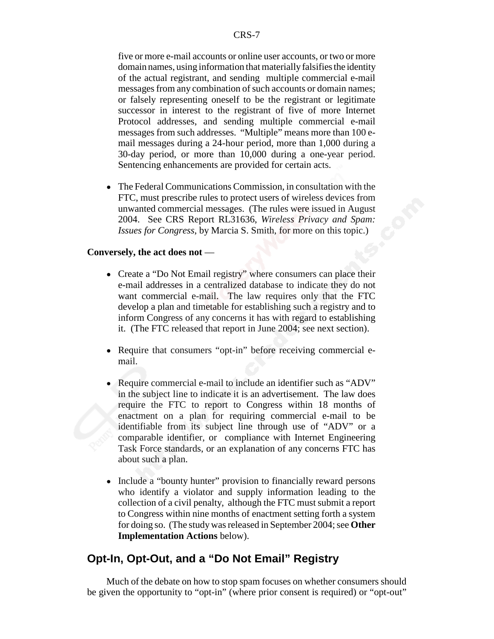five or more e-mail accounts or online user accounts, or two or more domain names, using information that materially falsifies the identity of the actual registrant, and sending multiple commercial e-mail messages from any combination of such accounts or domain names; or falsely representing oneself to be the registrant or legitimate successor in interest to the registrant of five of more Internet Protocol addresses, and sending multiple commercial e-mail messages from such addresses. "Multiple" means more than 100 email messages during a 24-hour period, more than 1,000 during a 30-day period, or more than 10,000 during a one-year period. Sentencing enhancements are provided for certain acts.

• The Federal Communications Commission, in consultation with the FTC, must prescribe rules to protect users of wireless devices from unwanted commercial messages. (The rules were issued in August 2004. See CRS Report RL31636, *Wireless Privacy and Spam: Issues for Congress*, by Marcia S. Smith, for more on this topic.)

#### **Conversely, the act does not** —

- ! Create a "Do Not Email registry" where consumers can place their e-mail addresses in a centralized database to indicate they do not want commercial e-mail. The law requires only that the FTC develop a plan and timetable for establishing such a registry and to inform Congress of any concerns it has with regard to establishing it. (The FTC released that report in June 2004; see next section).
- ! Require that consumers "opt-in" before receiving commercial email.
- Require commercial e-mail to include an identifier such as "ADV" in the subject line to indicate it is an advertisement. The law does require the FTC to report to Congress within 18 months of enactment on a plan for requiring commercial e-mail to be identifiable from its subject line through use of "ADV" or a comparable identifier, or compliance with Internet Engineering Task Force standards, or an explanation of any concerns FTC has about such a plan.
- ! Include a "bounty hunter" provision to financially reward persons who identify a violator and supply information leading to the collection of a civil penalty, although the FTC must submit a report to Congress within nine months of enactment setting forth a system for doing so. (The study was released in September 2004; see **Other Implementation Actions** below).

#### **Opt-In, Opt-Out, and a "Do Not Email" Registry**

Much of the debate on how to stop spam focuses on whether consumers should be given the opportunity to "opt-in" (where prior consent is required) or "opt-out"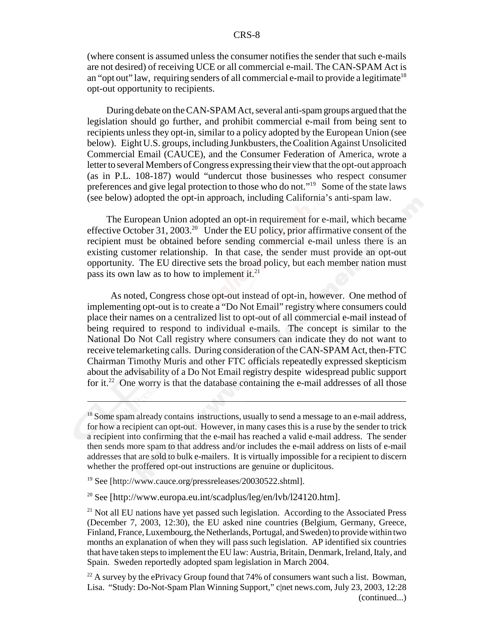(where consent is assumed unless the consumer notifies the sender that such e-mails are not desired) of receiving UCE or all commercial e-mail. The CAN-SPAM Act is an "opt out" law, requiring senders of all commercial e-mail to provide a legitimate<sup>18</sup> opt-out opportunity to recipients.

During debate on the CAN-SPAM Act, several anti-spam groups argued that the legislation should go further, and prohibit commercial e-mail from being sent to recipients unless they opt-in, similar to a policy adopted by the European Union (see below). Eight U.S. groups, including Junkbusters, the Coalition Against Unsolicited Commercial Email (CAUCE), and the Consumer Federation of America, wrote a letter to several Members of Congress expressing their view that the opt-out approach (as in P.L. 108-187) would "undercut those businesses who respect consumer preferences and give legal protection to those who do not."19 Some of the state laws (see below) adopted the opt-in approach, including California's anti-spam law.

The European Union adopted an opt-in requirement for e-mail, which became effective October 31, 2003.<sup>20</sup> Under the EU policy, prior affirmative consent of the recipient must be obtained before sending commercial e-mail unless there is an existing customer relationship. In that case, the sender must provide an opt-out opportunity. The EU directive sets the broad policy, but each member nation must pass its own law as to how to implement it. $^{21}$ 

 As noted, Congress chose opt-out instead of opt-in, however. One method of implementing opt-out is to create a "Do Not Email" registry where consumers could place their names on a centralized list to opt-out of all commercial e-mail instead of being required to respond to individual e-mails. The concept is similar to the National Do Not Call registry where consumers can indicate they do not want to receive telemarketing calls. During consideration of the CAN-SPAM Act, then-FTC Chairman Timothy Muris and other FTC officials repeatedly expressed skepticism about the advisability of a Do Not Email registry despite widespread public support for it.<sup>22</sup> One worry is that the database containing the e-mail addresses of all those

<sup>&</sup>lt;sup>18</sup> Some spam already contains instructions, usually to send a message to an e-mail address, for how a recipient can opt-out. However, in many cases this is a ruse by the sender to trick a recipient into confirming that the e-mail has reached a valid e-mail address. The sender then sends more spam to that address and/or includes the e-mail address on lists of e-mail addresses that are sold to bulk e-mailers. It is virtually impossible for a recipient to discern whether the proffered opt-out instructions are genuine or duplicitous.

<sup>&</sup>lt;sup>19</sup> See [http://www.cauce.org/pressreleases/20030522.shtml].

<sup>20</sup> See [http://www.europa.eu.int/scadplus/leg/en/lvb/l24120.htm].

 $21$  Not all EU nations have yet passed such legislation. According to the Associated Press (December 7, 2003, 12:30), the EU asked nine countries (Belgium, Germany, Greece, Finland, France, Luxembourg, the Netherlands, Portugal, and Sweden) to provide within two months an explanation of when they will pass such legislation. AP identified six countries that have taken steps to implement the EU law: Austria, Britain, Denmark, Ireland, Italy, and Spain. Sweden reportedly adopted spam legislation in March 2004.

 $^{22}$  A survey by the ePrivacy Group found that 74% of consumers want such a list. Bowman, Lisa. "Study: Do-Not-Spam Plan Winning Support," c|net news.com, July 23, 2003, 12:28 (continued...)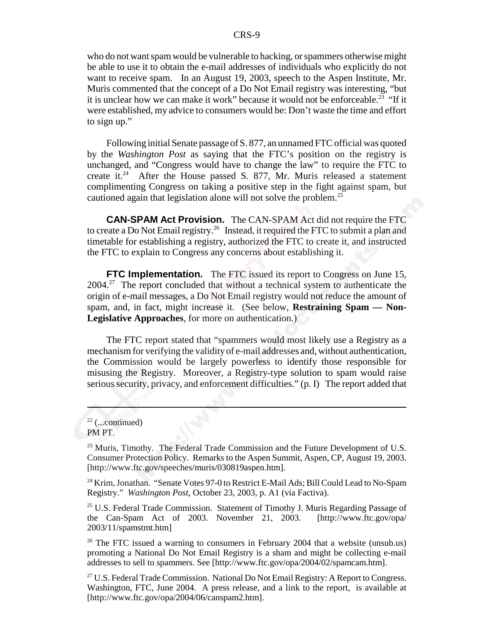who do not want spam would be vulnerable to hacking, or spammers otherwise might be able to use it to obtain the e-mail addresses of individuals who explicitly do not want to receive spam. In an August 19, 2003, speech to the Aspen Institute, Mr. Muris commented that the concept of a Do Not Email registry was interesting, "but it is unclear how we can make it work" because it would not be enforceable.<sup>23</sup> "If it were established, my advice to consumers would be: Don't waste the time and effort to sign up."

Following initial Senate passage of S. 877, an unnamed FTC official was quoted by the *Washington Post* as saying that the FTC's position on the registry is unchanged, and "Congress would have to change the law" to require the FTC to create it.<sup>24</sup> After the House passed S. 877, Mr. Muris released a statement complimenting Congress on taking a positive step in the fight against spam, but cautioned again that legislation alone will not solve the problem.25

**CAN-SPAM Act Provision.** The CAN-SPAM Act did not require the FTC to create a Do Not Email registry.<sup>26</sup> Instead, it required the FTC to submit a plan and timetable for establishing a registry, authorized the FTC to create it, and instructed the FTC to explain to Congress any concerns about establishing it.

**FTC Implementation.** The FTC issued its report to Congress on June 15,  $2004.<sup>27</sup>$  The report concluded that without a technical system to authenticate the origin of e-mail messages, a Do Not Email registry would not reduce the amount of spam, and, in fact, might increase it. (See below, **Restraining Spam — Non-Legislative Approaches**, for more on authentication.)

The FTC report stated that "spammers would most likely use a Registry as a mechanism for verifying the validity of e-mail addresses and, without authentication, the Commission would be largely powerless to identify those responsible for misusing the Registry. Moreover, a Registry-type solution to spam would raise serious security, privacy, and enforcement difficulties." (p. I) The report added that

<sup>24</sup> Krim, Jonathan. "Senate Votes 97-0 to Restrict E-Mail Ads; Bill Could Lead to No-Spam Registry." *Washington Post*, October 23, 2003, p. A1 (via Factiva).

<sup>25</sup> U.S. Federal Trade Commission. Statement of Timothy J. Muris Regarding Passage of the Can-Spam Act of 2003. November 21, 2003. [http://www.ftc.gov/opa/ 2003/11/spamstmt.htm]

<sup>26</sup> The FTC issued a warning to consumers in February 2004 that a website (unsub.us) promoting a National Do Not Email Registry is a sham and might be collecting e-mail addresses to sell to spammers. See [http://www.ftc.gov/opa/2004/02/spamcam.htm].

<sup>27</sup> U.S. Federal Trade Commission. National Do Not Email Registry: A Report to Congress. Washington, FTC, June 2004. A press release, and a link to the report, is available at [http://www.ftc.gov/opa/2004/06/canspam2.htm].

 $22$  (...continued) PM PT.

<sup>&</sup>lt;sup>23</sup> Muris, Timothy. The Federal Trade Commission and the Future Development of U.S. Consumer Protection Policy. Remarks to the Aspen Summit, Aspen, CP, August 19, 2003. [http://www.ftc.gov/speeches/muris/030819aspen.htm].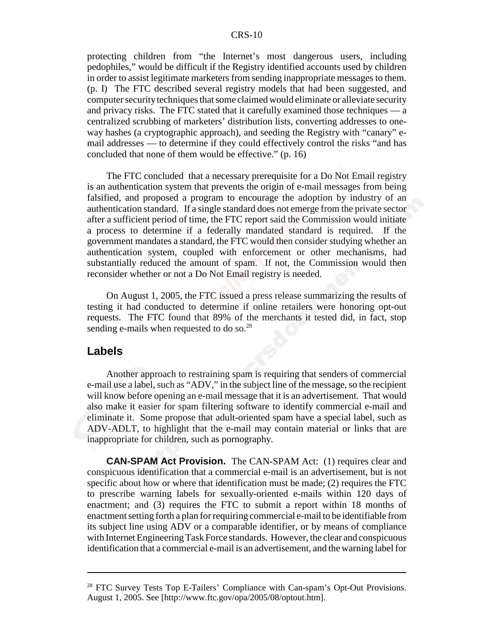protecting children from "the Internet's most dangerous users, including pedophiles," would be difficult if the Registry identified accounts used by children in order to assist legitimate marketers from sending inappropriate messages to them. (p. I) The FTC described several registry models that had been suggested, and computer security techniques that some claimed would eliminate or alleviate security and privacy risks. The FTC stated that it carefully examined those techniques — a centralized scrubbing of marketers' distribution lists, converting addresses to oneway hashes (a cryptographic approach), and seeding the Registry with "canary" email addresses — to determine if they could effectively control the risks "and has concluded that none of them would be effective." (p. 16)

The FTC concluded that a necessary prerequisite for a Do Not Email registry is an authentication system that prevents the origin of e-mail messages from being falsified, and proposed a program to encourage the adoption by industry of an authentication standard. If a single standard does not emerge from the private sector after a sufficient period of time, the FTC report said the Commission would initiate a process to determine if a federally mandated standard is required. If the government mandates a standard, the FTC would then consider studying whether an authentication system, coupled with enforcement or other mechanisms, had substantially reduced the amount of spam. If not, the Commission would then reconsider whether or not a Do Not Email registry is needed.

On August 1, 2005, the FTC issued a press release summarizing the results of testing it had conducted to determine if online retailers were honoring opt-out requests. The FTC found that 89% of the merchants it tested did, in fact, stop sending e-mails when requested to do so.<sup>28</sup>

#### **Labels**

Another approach to restraining spam is requiring that senders of commercial e-mail use a label, such as "ADV," in the subject line of the message, so the recipient will know before opening an e-mail message that it is an advertisement. That would also make it easier for spam filtering software to identify commercial e-mail and eliminate it. Some propose that adult-oriented spam have a special label, such as ADV-ADLT, to highlight that the e-mail may contain material or links that are inappropriate for children, such as pornography.

**CAN-SPAM Act Provision.** The CAN-SPAM Act: (1) requires clear and conspicuous identification that a commercial e-mail is an advertisement, but is not specific about how or where that identification must be made; (2) requires the FTC to prescribe warning labels for sexually-oriented e-mails within 120 days of enactment; and (3) requires the FTC to submit a report within 18 months of enactment setting forth a plan for requiring commercial e-mail to be identifiable from its subject line using ADV or a comparable identifier, or by means of compliance with Internet Engineering Task Force standards. However, the clear and conspicuous identification that a commercial e-mail is an advertisement, and the warning label for

<sup>28</sup> FTC Survey Tests Top E-Tailers' Compliance with Can-spam's Opt-Out Provisions. August 1, 2005. See [http://www.ftc.gov/opa/2005/08/optout.htm].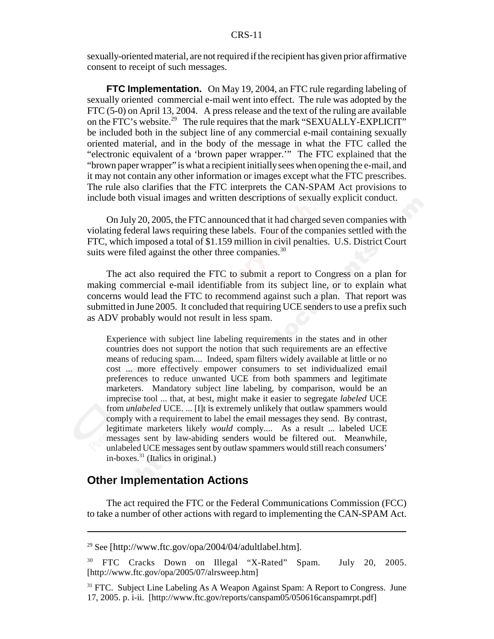sexually-oriented material, are not required if the recipient has given prior affirmative consent to receipt of such messages.

**FTC Implementation.** On May 19, 2004, an FTC rule regarding labeling of sexually oriented commercial e-mail went into effect. The rule was adopted by the FTC (5-0) on April 13, 2004. A press release and the text of the ruling are available on the FTC's website.<sup>29</sup> The rule requires that the mark "SEXUALLY-EXPLICIT" be included both in the subject line of any commercial e-mail containing sexually oriented material, and in the body of the message in what the FTC called the "electronic equivalent of a 'brown paper wrapper.'" The FTC explained that the "brown paper wrapper" is what a recipient initially sees when opening the e-mail, and it may not contain any other information or images except what the FTC prescribes. The rule also clarifies that the FTC interprets the CAN-SPAM Act provisions to include both visual images and written descriptions of sexually explicit conduct.

On July 20, 2005, the FTC announced that it had charged seven companies with violating federal laws requiring these labels. Four of the companies settled with the FTC, which imposed a total of \$1.159 million in civil penalties. U.S. District Court suits were filed against the other three companies.<sup>30</sup>

The act also required the FTC to submit a report to Congress on a plan for making commercial e-mail identifiable from its subject line, or to explain what concerns would lead the FTC to recommend against such a plan. That report was submitted in June 2005. It concluded that requiring UCE senders to use a prefix such as ADV probably would not result in less spam.

Experience with subject line labeling requirements in the states and in other countries does not support the notion that such requirements are an effective means of reducing spam.... Indeed, spam filters widely available at little or no cost ... more effectively empower consumers to set individualized email preferences to reduce unwanted UCE from both spammers and legitimate marketers. Mandatory subject line labeling, by comparison, would be an imprecise tool ... that, at best, might make it easier to segregate *labeled* UCE from *unlabeled* UCE. ... [I]t is extremely unlikely that outlaw spammers would comply with a requirement to label the email messages they send. By contrast, legitimate marketers likely *would* comply.... As a result ... labeled UCE messages sent by law-abiding senders would be filtered out. Meanwhile, unlabeled UCE messages sent by outlaw spammers would still reach consumers' in-boxes.31 (Italics in original.)

#### **Other Implementation Actions**

The act required the FTC or the Federal Communications Commission (FCC) to take a number of other actions with regard to implementing the CAN-SPAM Act.

 $^{29}$  See [http://www.ftc.gov/opa/2004/04/adultlabel.htm].

<sup>&</sup>lt;sup>30</sup> FTC Cracks Down on Illegal "X-Rated" Spam. July 20, 2005. [http://www.ftc.gov/opa/2005/07/alrsweep.htm]

<sup>&</sup>lt;sup>31</sup> FTC. Subject Line Labeling As A Weapon Against Spam: A Report to Congress. June 17, 2005. p. i-ii. [http://www.ftc.gov/reports/canspam05/050616canspamrpt.pdf]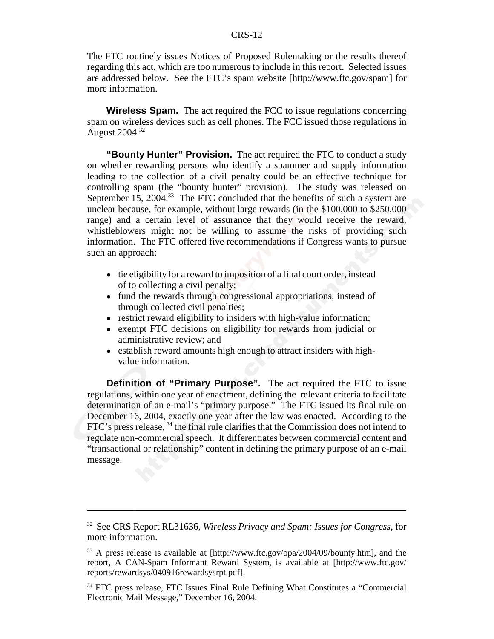The FTC routinely issues Notices of Proposed Rulemaking or the results thereof regarding this act, which are too numerous to include in this report. Selected issues are addressed below. See the FTC's spam website [http://www.ftc.gov/spam] for more information.

**Wireless Spam.** The act required the FCC to issue regulations concerning spam on wireless devices such as cell phones. The FCC issued those regulations in August 2004.32

**"Bounty Hunter" Provision.** The act required the FTC to conduct a study on whether rewarding persons who identify a spammer and supply information leading to the collection of a civil penalty could be an effective technique for controlling spam (the "bounty hunter" provision). The study was released on September 15, 2004.<sup>33</sup> The FTC concluded that the benefits of such a system are unclear because, for example, without large rewards (in the \$100,000 to \$250,000 range) and a certain level of assurance that they would receive the reward, whistleblowers might not be willing to assume the risks of providing such information. The FTC offered five recommendations if Congress wants to pursue such an approach:

- tie eligibility for a reward to imposition of a final court order, instead of to collecting a civil penalty;
- fund the rewards through congressional appropriations, instead of through collected civil penalties;
- restrict reward eligibility to insiders with high-value information;
- exempt FTC decisions on eligibility for rewards from judicial or administrative review; and
- establish reward amounts high enough to attract insiders with highvalue information.

**Definition of "Primary Purpose".** The act required the FTC to issue regulations, within one year of enactment, defining the relevant criteria to facilitate determination of an e-mail's "primary purpose." The FTC issued its final rule on December 16, 2004, exactly one year after the law was enacted. According to the FTC's press release, <sup>34</sup> the final rule clarifies that the Commission does not intend to regulate non-commercial speech. It differentiates between commercial content and "transactional or relationship" content in defining the primary purpose of an e-mail message.

<sup>32</sup> See CRS Report RL31636, *Wireless Privacy and Spam: Issues for Congress*, for more information.

<sup>&</sup>lt;sup>33</sup> A press release is available at [http://www.ftc.gov/opa/2004/09/bounty.htm], and the report, A CAN-Spam Informant Reward System, is available at [http://www.ftc.gov/ reports/rewardsys/040916rewardsysrpt.pdf].

<sup>&</sup>lt;sup>34</sup> FTC press release, FTC Issues Final Rule Defining What Constitutes a "Commercial" Electronic Mail Message," December 16, 2004.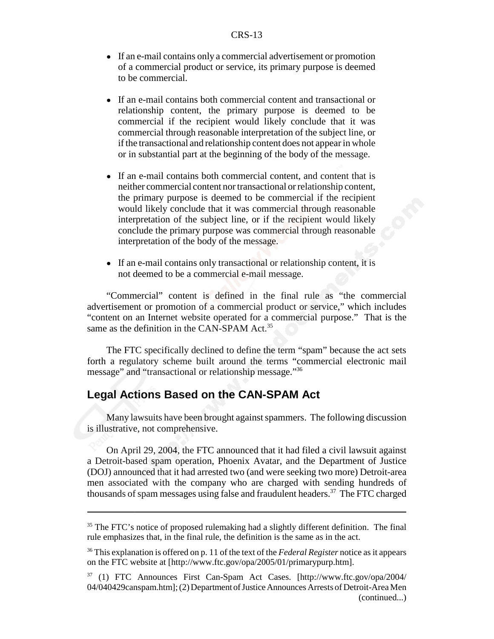- ! If an e-mail contains only a commercial advertisement or promotion of a commercial product or service, its primary purpose is deemed to be commercial.
- If an e-mail contains both commercial content and transactional or relationship content, the primary purpose is deemed to be commercial if the recipient would likely conclude that it was commercial through reasonable interpretation of the subject line, or if the transactional and relationship content does not appear in whole or in substantial part at the beginning of the body of the message.
- ! If an e-mail contains both commercial content, and content that is neither commercial content nor transactional or relationship content, the primary purpose is deemed to be commercial if the recipient would likely conclude that it was commercial through reasonable interpretation of the subject line, or if the recipient would likely conclude the primary purpose was commercial through reasonable interpretation of the body of the message.
- If an e-mail contains only transactional or relationship content, it is not deemed to be a commercial e-mail message.

"Commercial" content is defined in the final rule as "the commercial advertisement or promotion of a commercial product or service," which includes "content on an Internet website operated for a commercial purpose." That is the same as the definition in the CAN-SPAM Act.<sup>35</sup>

The FTC specifically declined to define the term "spam" because the act sets forth a regulatory scheme built around the terms "commercial electronic mail message" and "transactional or relationship message."<sup>36</sup>

#### **Legal Actions Based on the CAN-SPAM Act**

Many lawsuits have been brought against spammers. The following discussion is illustrative, not comprehensive.

On April 29, 2004, the FTC announced that it had filed a civil lawsuit against a Detroit-based spam operation, Phoenix Avatar, and the Department of Justice (DOJ) announced that it had arrested two (and were seeking two more) Detroit-area men associated with the company who are charged with sending hundreds of thousands of spam messages using false and fraudulent headers.37 The FTC charged

<sup>&</sup>lt;sup>35</sup> The FTC's notice of proposed rulemaking had a slightly different definition. The final rule emphasizes that, in the final rule, the definition is the same as in the act.

<sup>36</sup> This explanation is offered on p. 11 of the text of the *Federal Register* notice as it appears on the FTC website at [http://www.ftc.gov/opa/2005/01/primarypurp.htm].

<sup>37 (1)</sup> FTC Announces First Can-Spam Act Cases. [http://www.ftc.gov/opa/2004/ 04/040429canspam.htm]; (2) Department of Justice Announces Arrests of Detroit-Area Men (continued...)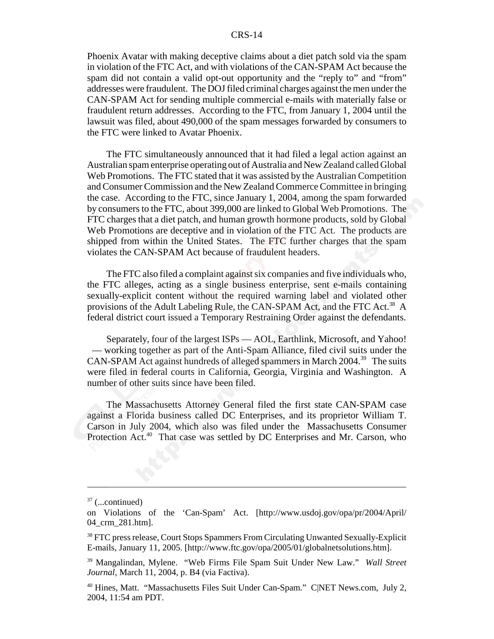Phoenix Avatar with making deceptive claims about a diet patch sold via the spam in violation of the FTC Act, and with violations of the CAN-SPAM Act because the spam did not contain a valid opt-out opportunity and the "reply to" and "from" addresses were fraudulent. The DOJ filed criminal charges against the men under the CAN-SPAM Act for sending multiple commercial e-mails with materially false or fraudulent return addresses. According to the FTC, from January 1, 2004 until the lawsuit was filed, about 490,000 of the spam messages forwarded by consumers to the FTC were linked to Avatar Phoenix.

The FTC simultaneously announced that it had filed a legal action against an Australian spam enterprise operating out of Australia and New Zealand called Global Web Promotions. The FTC stated that it was assisted by the Australian Competition and Consumer Commission and the New Zealand Commerce Committee in bringing the case. According to the FTC, since January 1, 2004, among the spam forwarded by consumers to the FTC, about 399,000 are linked to Global Web Promotions. The FTC charges that a diet patch, and human growth hormone products, sold by Global Web Promotions are deceptive and in violation of the FTC Act. The products are shipped from within the United States. The FTC further charges that the spam violates the CAN-SPAM Act because of fraudulent headers.

The FTC also filed a complaint against six companies and five individuals who, the FTC alleges, acting as a single business enterprise, sent e-mails containing sexually-explicit content without the required warning label and violated other provisions of the Adult Labeling Rule, the CAN-SPAM Act, and the FTC Act.<sup>38</sup> A federal district court issued a Temporary Restraining Order against the defendants.

Separately, four of the largest ISPs — AOL, Earthlink, Microsoft, and Yahoo! — working together as part of the Anti-Spam Alliance, filed civil suits under the CAN-SPAM Act against hundreds of alleged spammers in March 2004.<sup>39</sup> The suits were filed in federal courts in California, Georgia, Virginia and Washington. A number of other suits since have been filed.

The Massachusetts Attorney General filed the first state CAN-SPAM case against a Florida business called DC Enterprises, and its proprietor William T. Carson in July 2004, which also was filed under the Massachusetts Consumer Protection Act.<sup>40</sup> That case was settled by DC Enterprises and Mr. Carson, who

 $37$  (...continued)

on Violations of the 'Can-Spam' Act. [http://www.usdoj.gov/opa/pr/2004/April/ 04\_crm\_281.htm].

<sup>&</sup>lt;sup>38</sup> FTC press release, Court Stops Spammers From Circulating Unwanted Sexually-Explicit E-mails, January 11, 2005. [http://www.ftc.gov/opa/2005/01/globalnetsolutions.htm].

<sup>39</sup> Mangalindan, Mylene. "Web Firms File Spam Suit Under New Law." *Wall Street Journal*, March 11, 2004, p. B4 (via Factiva).

<sup>&</sup>lt;sup>40</sup> Hines, Matt. "Massachusetts Files Suit Under Can-Spam." C|NET News.com, July 2, 2004, 11:54 am PDT.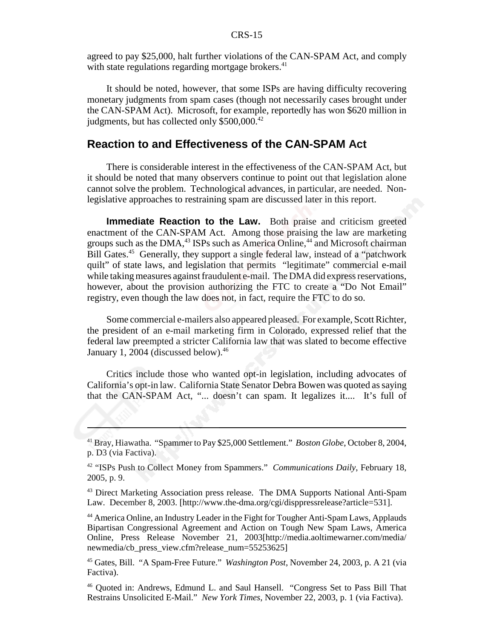agreed to pay \$25,000, halt further violations of the CAN-SPAM Act, and comply with state regulations regarding mortgage brokers. $41$ 

It should be noted, however, that some ISPs are having difficulty recovering monetary judgments from spam cases (though not necessarily cases brought under the CAN-SPAM Act). Microsoft, for example, reportedly has won \$620 million in iudgments, but has collected only  $$500,000.<sup>42</sup>$ 

#### **Reaction to and Effectiveness of the CAN-SPAM Act**

There is considerable interest in the effectiveness of the CAN-SPAM Act, but it should be noted that many observers continue to point out that legislation alone cannot solve the problem. Technological advances, in particular, are needed. Nonlegislative approaches to restraining spam are discussed later in this report.

**Immediate Reaction to the Law.** Both praise and criticism greeted enactment of the CAN-SPAM Act. Among those praising the law are marketing groups such as the DMA, $43$  ISPs such as America Online, $44$  and Microsoft chairman Bill Gates.<sup>45</sup> Generally, they support a single federal law, instead of a "patchwork" quilt" of state laws, and legislation that permits "legitimate" commercial e-mail while taking measures against fraudulent e-mail. The DMA did express reservations, however, about the provision authorizing the FTC to create a "Do Not Email" registry, even though the law does not, in fact, require the FTC to do so.

Some commercial e-mailers also appeared pleased. For example, Scott Richter, the president of an e-mail marketing firm in Colorado, expressed relief that the federal law preempted a stricter California law that was slated to become effective January 1, 2004 (discussed below). $46$ 

Critics include those who wanted opt-in legislation, including advocates of California's opt-in law. California State Senator Debra Bowen was quoted as saying that the CAN-SPAM Act, "... doesn't can spam. It legalizes it.... It's full of

<sup>41</sup> Bray, Hiawatha. "Spammer to Pay \$25,000 Settlement." *Boston Globe*, October 8, 2004, p. D3 (via Factiva).

<sup>42 &</sup>quot;ISPs Push to Collect Money from Spammers." *Communications Daily*, February 18, 2005, p. 9.

<sup>&</sup>lt;sup>43</sup> Direct Marketing Association press release. The DMA Supports National Anti-Spam Law. December 8, 2003. [http://www.the-dma.org/cgi/disppressrelease?article=531].

<sup>44</sup> America Online, an Industry Leader in the Fight for Tougher Anti-Spam Laws, Applauds Bipartisan Congressional Agreement and Action on Tough New Spam Laws, America Online, Press Release November 21, 2003[http://media.aoltimewarner.com/media/ newmedia/cb\_press\_view.cfm?release\_num=55253625]

<sup>45</sup> Gates, Bill. "A Spam-Free Future." *Washington Post*, November 24, 2003, p. A 21 (via Factiva).

<sup>46</sup> Quoted in: Andrews, Edmund L. and Saul Hansell. "Congress Set to Pass Bill That Restrains Unsolicited E-Mail." *New York Times*, November 22, 2003, p. 1 (via Factiva).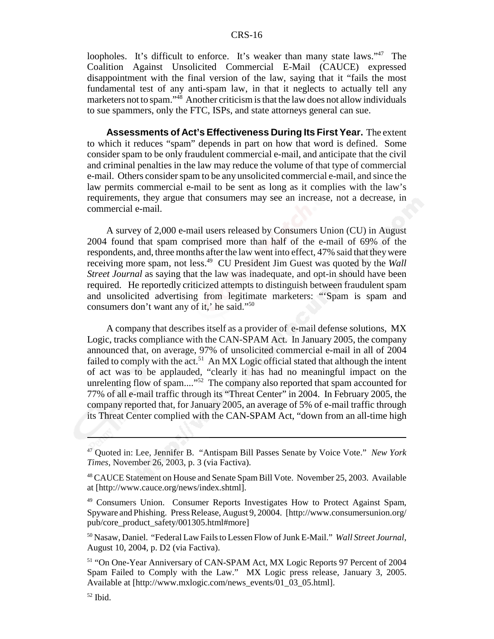loopholes. It's difficult to enforce. It's weaker than many state laws."<sup>47</sup> The Coalition Against Unsolicited Commercial E-Mail (CAUCE) expressed disappointment with the final version of the law, saying that it "fails the most fundamental test of any anti-spam law, in that it neglects to actually tell any marketers not to spam."48 Another criticism is that the law does not allow individuals to sue spammers, only the FTC, ISPs, and state attorneys general can sue.

**Assessments of Act's Effectiveness During Its First Year.** The extent to which it reduces "spam" depends in part on how that word is defined. Some consider spam to be only fraudulent commercial e-mail, and anticipate that the civil and criminal penalties in the law may reduce the volume of that type of commercial e-mail. Others consider spam to be any unsolicited commercial e-mail, and since the law permits commercial e-mail to be sent as long as it complies with the law's requirements, they argue that consumers may see an increase, not a decrease, in commercial e-mail.

A survey of 2,000 e-mail users released by Consumers Union (CU) in August 2004 found that spam comprised more than half of the e-mail of 69% of the respondents, and, three months after the law went into effect, 47% said that they were receiving more spam, not less.49 CU President Jim Guest was quoted by the *Wall Street Journal* as saying that the law was inadequate, and opt-in should have been required. He reportedly criticized attempts to distinguish between fraudulent spam and unsolicited advertising from legitimate marketers: "'Spam is spam and consumers don't want any of it,' he said."50

A company that describes itself as a provider of e-mail defense solutions, MX Logic, tracks compliance with the CAN-SPAM Act. In January 2005, the company announced that, on average, 97% of unsolicited commercial e-mail in all of 2004 failed to comply with the act.<sup>51</sup> An MX Logic official stated that although the intent of act was to be applauded, "clearly it has had no meaningful impact on the unrelenting flow of spam...."<sup>52</sup> The company also reported that spam accounted for 77% of all e-mail traffic through its "Threat Center" in 2004. In February 2005, the company reported that, for January 2005, an average of 5% of e-mail traffic through its Threat Center complied with the CAN-SPAM Act, "down from an all-time high

<sup>47</sup> Quoted in: Lee, Jennifer B. "Antispam Bill Passes Senate by Voice Vote." *New York Times*, November 26, 2003, p. 3 (via Factiva).

<sup>48</sup> CAUCE Statement on House and Senate Spam Bill Vote. November 25, 2003. Available at [http://www.cauce.org/news/index.shtml].

<sup>&</sup>lt;sup>49</sup> Consumers Union. Consumer Reports Investigates How to Protect Against Spam, Spyware and Phishing. Press Release, August 9, 20004. [http://www.consumersunion.org/ pub/core\_product\_safety/001305.html#more]

<sup>50</sup> Nasaw, Daniel. "Federal Law Fails to Lessen Flow of Junk E-Mail." *Wall Street Journal*, August 10, 2004, p. D2 (via Factiva).

<sup>&</sup>lt;sup>51</sup> "On One-Year Anniversary of CAN-SPAM Act, MX Logic Reports 97 Percent of 2004 Spam Failed to Comply with the Law." MX Logic press release, January 3, 2005. Available at [http://www.mxlogic.com/news\_events/01\_03\_05.html].

<sup>52</sup> Ibid.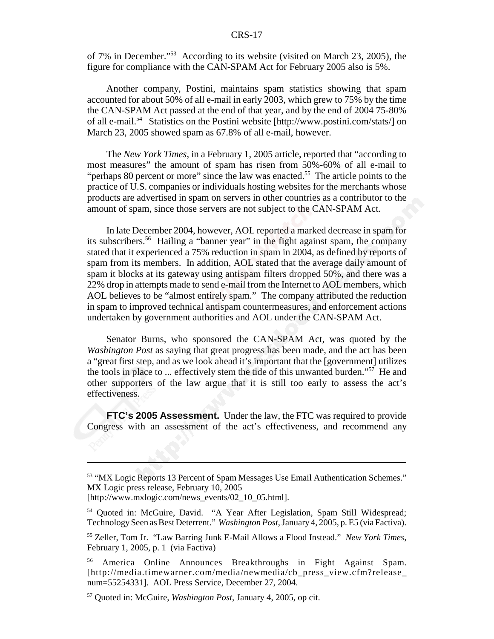of 7% in December."53 According to its website (visited on March 23, 2005), the figure for compliance with the CAN-SPAM Act for February 2005 also is 5%.

Another company, Postini, maintains spam statistics showing that spam accounted for about 50% of all e-mail in early 2003, which grew to 75% by the time the CAN-SPAM Act passed at the end of that year, and by the end of 2004 75-80% of all e-mail.54 Statistics on the Postini website [http://www.postini.com/stats/] on March 23, 2005 showed spam as 67.8% of all e-mail, however.

The *New York Times*, in a February 1, 2005 article, reported that "according to most measures" the amount of spam has risen from 50%-60% of all e-mail to "perhaps 80 percent or more" since the law was enacted.<sup>55</sup> The article points to the practice of U.S. companies or individuals hosting websites for the merchants whose products are advertised in spam on servers in other countries as a contributor to the amount of spam, since those servers are not subject to the CAN-SPAM Act.

In late December 2004, however, AOL reported a marked decrease in spam for its subscribers.56 Hailing a "banner year" in the fight against spam, the company stated that it experienced a 75% reduction in spam in 2004, as defined by reports of spam from its members. In addition, AOL stated that the average daily amount of spam it blocks at its gateway using antispam filters dropped 50%, and there was a 22% drop in attempts made to send e-mail from the Internet to AOL members, which AOL believes to be "almost entirely spam." The company attributed the reduction in spam to improved technical antispam countermeasures, and enforcement actions undertaken by government authorities and AOL under the CAN-SPAM Act.

Senator Burns, who sponsored the CAN-SPAM Act, was quoted by the *Washington Post* as saying that great progress has been made, and the act has been a "great first step, and as we look ahead it's important that the [government] utilizes the tools in place to ... effectively stem the tide of this unwanted burden."57 He and other supporters of the law argue that it is still too early to assess the act's effectiveness.

**FTC's 2005 Assessment.** Under the law, the FTC was required to provide Congress with an assessment of the act's effectiveness, and recommend any

<sup>&</sup>lt;sup>53</sup> "MX Logic Reports 13 Percent of Spam Messages Use Email Authentication Schemes." MX Logic press release, February 10, 2005 [http://www.mxlogic.com/news\_events/02\_10\_05.html].

<sup>54</sup> Quoted in: McGuire, David. "A Year After Legislation, Spam Still Widespread; Technology Seen as Best Deterrent." *Washington Post*, January 4, 2005, p. E5 (via Factiva).

<sup>55</sup> Zeller, Tom Jr. "Law Barring Junk E-Mail Allows a Flood Instead." *New York Times*, February 1, 2005, p. 1 (via Factiva)

<sup>56</sup> America Online Announces Breakthroughs in Fight Against Spam. [http://media.timewarner.com/media/newmedia/cb\_press\_view.cfm?release\_ num=55254331]. AOL Press Service, December 27, 2004.

<sup>57</sup> Quoted in: McGuire, *Washington Post*, January 4, 2005, op cit.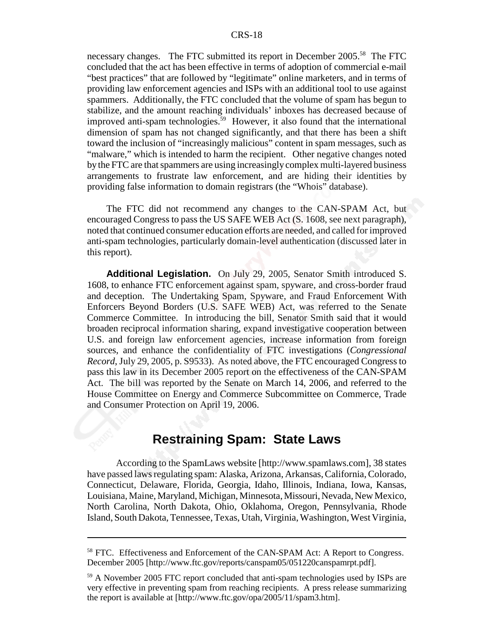necessary changes. The FTC submitted its report in December 2005.<sup>58</sup> The FTC concluded that the act has been effective in terms of adoption of commercial e-mail "best practices" that are followed by "legitimate" online marketers, and in terms of providing law enforcement agencies and ISPs with an additional tool to use against spammers. Additionally, the FTC concluded that the volume of spam has begun to stabilize, and the amount reaching individuals' inboxes has decreased because of improved anti-spam technologies.<sup>59</sup> However, it also found that the international dimension of spam has not changed significantly, and that there has been a shift toward the inclusion of "increasingly malicious" content in spam messages, such as "malware," which is intended to harm the recipient. Other negative changes noted by the FTC are that spammers are using increasingly complex multi-layered business arrangements to frustrate law enforcement, and are hiding their identities by providing false information to domain registrars (the "Whois" database).

The FTC did not recommend any changes to the CAN-SPAM Act, but encouraged Congress to pass the US SAFE WEB Act (S. 1608, see next paragraph), noted that continued consumer education efforts are needed, and called for improved anti-spam technologies, particularly domain-level authentication (discussed later in this report).

**Additional Legislation.** On July 29, 2005, Senator Smith introduced S. 1608, to enhance FTC enforcement against spam, spyware, and cross-border fraud and deception. The Undertaking Spam, Spyware, and Fraud Enforcement With Enforcers Beyond Borders (U.S. SAFE WEB) Act, was referred to the Senate Commerce Committee. In introducing the bill, Senator Smith said that it would broaden reciprocal information sharing, expand investigative cooperation between U.S. and foreign law enforcement agencies, increase information from foreign sources, and enhance the confidentiality of FTC investigations (*Congressional Record*, July 29, 2005, p. S9533). As noted above, the FTC encouraged Congress to pass this law in its December 2005 report on the effectiveness of the CAN-SPAM Act. The bill was reported by the Senate on March 14, 2006, and referred to the House Committee on Energy and Commerce Subcommittee on Commerce, Trade and Consumer Protection on April 19, 2006.

## **Restraining Spam: State Laws**

According to the SpamLaws website [http://www.spamlaws.com], 38 states have passed laws regulating spam: Alaska, Arizona, Arkansas, California, Colorado, Connecticut, Delaware, Florida, Georgia, Idaho, Illinois, Indiana, Iowa, Kansas, Louisiana, Maine, Maryland, Michigan, Minnesota, Missouri, Nevada, New Mexico, North Carolina, North Dakota, Ohio, Oklahoma, Oregon, Pennsylvania, Rhode Island, South Dakota, Tennessee, Texas, Utah, Virginia, Washington, West Virginia,

<sup>&</sup>lt;sup>58</sup> FTC. Effectiveness and Enforcement of the CAN-SPAM Act: A Report to Congress. December 2005 [http://www.ftc.gov/reports/canspam05/051220canspamrpt.pdf].

<sup>59</sup> A November 2005 FTC report concluded that anti-spam technologies used by ISPs are very effective in preventing spam from reaching recipients. A press release summarizing the report is available at [http://www.ftc.gov/opa/2005/11/spam3.htm].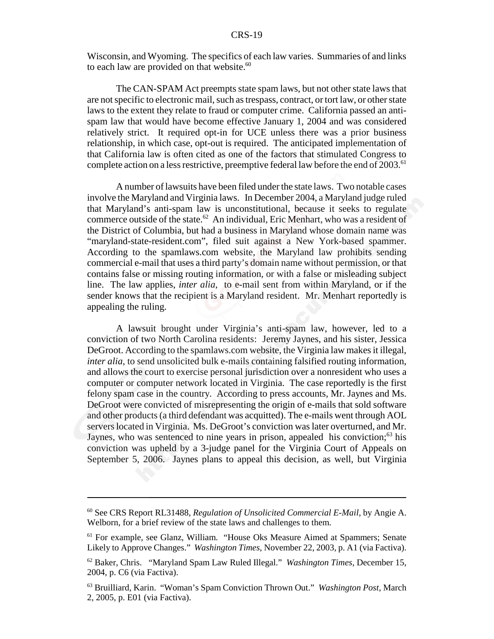Wisconsin, and Wyoming. The specifics of each law varies. Summaries of and links to each law are provided on that website. $60$ 

The CAN-SPAM Act preempts state spam laws, but not other state laws that are not specific to electronic mail, such as trespass, contract, or tort law, or other state laws to the extent they relate to fraud or computer crime. California passed an antispam law that would have become effective January 1, 2004 and was considered relatively strict. It required opt-in for UCE unless there was a prior business relationship, in which case, opt-out is required. The anticipated implementation of that California law is often cited as one of the factors that stimulated Congress to complete action on a less restrictive, preemptive federal law before the end of  $2003$ .<sup>61</sup>

A number of lawsuits have been filed under the state laws. Two notable cases involve the Maryland and Virginia laws. In December 2004, a Maryland judge ruled that Maryland's anti-spam law is unconstitutional, because it seeks to regulate commerce outside of the state.<sup>62</sup> An individual, Eric Menhart, who was a resident of the District of Columbia, but had a business in Maryland whose domain name was "maryland-state-resident.com", filed suit against a New York-based spammer. According to the spamlaws.com website, the Maryland law prohibits sending commercial e-mail that uses a third party's domain name without permission, or that contains false or missing routing information, or with a false or misleading subject line. The law applies, *inter alia*, to e-mail sent from within Maryland, or if the sender knows that the recipient is a Maryland resident. Mr. Menhart reportedly is appealing the ruling.

A lawsuit brought under Virginia's anti-spam law, however, led to a conviction of two North Carolina residents: Jeremy Jaynes, and his sister, Jessica DeGroot. According to the spamlaws.com website, the Virginia law makes it illegal, *inter alia*, to send unsolicited bulk e-mails containing falsified routing information, and allows the court to exercise personal jurisdiction over a nonresident who uses a computer or computer network located in Virginia. The case reportedly is the first felony spam case in the country. According to press accounts, Mr. Jaynes and Ms. DeGroot were convicted of misrepresenting the origin of e-mails that sold software and other products (a third defendant was acquitted). The e-mails went through AOL servers located in Virginia. Ms. DeGroot's conviction was later overturned, and Mr. Jaynes, who was sentenced to nine years in prison, appealed his conviction; $^{63}$  his conviction was upheld by a 3-judge panel for the Virginia Court of Appeals on September 5, 2006. Jaynes plans to appeal this decision, as well, but Virginia

<sup>60</sup> See CRS Report RL31488, *Regulation of Unsolicited Commercial E-Mail*, by Angie A. Welborn, for a brief review of the state laws and challenges to them.

<sup>&</sup>lt;sup>61</sup> For example, see Glanz, William. "House Oks Measure Aimed at Spammers; Senate Likely to Approve Changes." *Washington Times*, November 22, 2003, p. A1 (via Factiva).

<sup>62</sup> Baker, Chris. "Maryland Spam Law Ruled Illegal." *Washington Times*, December 15, 2004, p. C6 (via Factiva).

<sup>63</sup> Bruilliard, Karin. "Woman's Spam Conviction Thrown Out." *Washington Post*, March 2, 2005, p. E01 (via Factiva).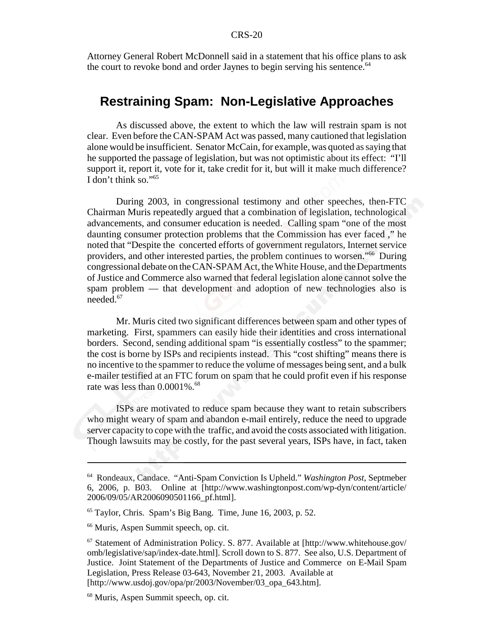Attorney General Robert McDonnell said in a statement that his office plans to ask the court to revoke bond and order Jaynes to begin serving his sentence.<sup>64</sup>

## **Restraining Spam: Non-Legislative Approaches**

As discussed above, the extent to which the law will restrain spam is not clear. Even before the CAN-SPAM Act was passed, many cautioned that legislation alone would be insufficient. Senator McCain, for example, was quoted as saying that he supported the passage of legislation, but was not optimistic about its effect: "I'll support it, report it, vote for it, take credit for it, but will it make much difference? I don't think so."<sup>65</sup>

During 2003, in congressional testimony and other speeches, then-FTC Chairman Muris repeatedly argued that a combination of legislation, technological advancements, and consumer education is needed. Calling spam "one of the most daunting consumer protection problems that the Commission has ever faced ," he noted that "Despite the concerted efforts of government regulators, Internet service providers, and other interested parties, the problem continues to worsen."66 During congressional debate on the CAN-SPAM Act, the White House, and the Departments of Justice and Commerce also warned that federal legislation alone cannot solve the spam problem — that development and adoption of new technologies also is needed.<sup>67</sup>

Mr. Muris cited two significant differences between spam and other types of marketing. First, spammers can easily hide their identities and cross international borders. Second, sending additional spam "is essentially costless" to the spammer; the cost is borne by ISPs and recipients instead. This "cost shifting" means there is no incentive to the spammer to reduce the volume of messages being sent, and a bulk e-mailer testified at an FTC forum on spam that he could profit even if his response rate was less than 0.0001%.<sup>68</sup>

ISPs are motivated to reduce spam because they want to retain subscribers who might weary of spam and abandon e-mail entirely, reduce the need to upgrade server capacity to cope with the traffic, and avoid the costs associated with litigation. Though lawsuits may be costly, for the past several years, ISPs have, in fact, taken

<sup>64</sup> Rondeaux, Candace. "Anti-Spam Conviction Is Upheld." *Washington Post*, Septmeber 6, 2006, p. B03. Online at [http://www.washingtonpost.com/wp-dyn/content/article/ 2006/09/05/AR2006090501166\_pf.html].

 $65$  Taylor, Chris. Spam's Big Bang. Time, June 16, 2003, p. 52.

<sup>66</sup> Muris, Aspen Summit speech, op. cit.

 $67$  Statement of Administration Policy. S. 877. Available at [http://www.whitehouse.gov/ omb/legislative/sap/index-date.html]. Scroll down to S. 877. See also, U.S. Department of Justice. Joint Statement of the Departments of Justice and Commerce on E-Mail Spam Legislation, Press Release 03-643, November 21, 2003. Available at [http://www.usdoj.gov/opa/pr/2003/November/03\_opa\_643.htm].

<sup>68</sup> Muris, Aspen Summit speech, op. cit.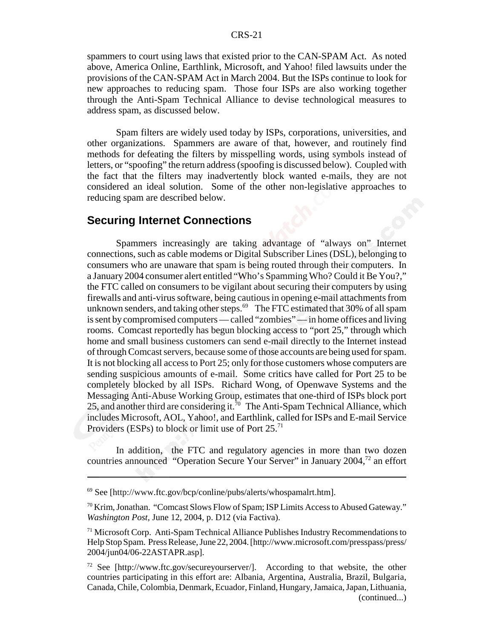spammers to court using laws that existed prior to the CAN-SPAM Act. As noted above, America Online, Earthlink, Microsoft, and Yahoo! filed lawsuits under the provisions of the CAN-SPAM Act in March 2004. But the ISPs continue to look for new approaches to reducing spam. Those four ISPs are also working together through the Anti-Spam Technical Alliance to devise technological measures to address spam, as discussed below.

Spam filters are widely used today by ISPs, corporations, universities, and other organizations. Spammers are aware of that, however, and routinely find methods for defeating the filters by misspelling words, using symbols instead of letters, or "spoofing" the return address (spoofing is discussed below). Coupled with the fact that the filters may inadvertently block wanted e-mails, they are not considered an ideal solution. Some of the other non-legislative approaches to reducing spam are described below.

### **Securing Internet Connections**

Spammers increasingly are taking advantage of "always on" Internet connections, such as cable modems or Digital Subscriber Lines (DSL), belonging to consumers who are unaware that spam is being routed through their computers. In a January 2004 consumer alert entitled "Who's Spamming Who? Could it Be You?," the FTC called on consumers to be vigilant about securing their computers by using firewalls and anti-virus software, being cautious in opening e-mail attachments from unknown senders, and taking other steps.<sup>69</sup> The FTC estimated that 30% of all spam is sent by compromised computers — called "zombies" — in home offices and living rooms. Comcast reportedly has begun blocking access to "port 25," through which home and small business customers can send e-mail directly to the Internet instead of through Comcast servers, because some of those accounts are being used for spam. It is not blocking all access to Port 25; only for those customers whose computers are sending suspicious amounts of e-mail. Some critics have called for Port 25 to be completely blocked by all ISPs. Richard Wong, of Openwave Systems and the Messaging Anti-Abuse Working Group, estimates that one-third of ISPs block port 25, and another third are considering it.<sup>70</sup> The Anti-Spam Technical Alliance, which includes Microsoft, AOL, Yahoo!, and Earthlink, called for ISPs and E-mail Service Providers (ESPs) to block or limit use of Port 25.71

In addition, the FTC and regulatory agencies in more than two dozen countries announced "Operation Secure Your Server" in January 2004,<sup>72</sup> an effort

 $^{69}$  See [http://www.ftc.gov/bcp/conline/pubs/alerts/whospamalrt.htm].

 $70$  Krim, Jonathan. "Comcast Slows Flow of Spam; ISP Limits Access to Abused Gateway." *Washington Post*, June 12, 2004, p. D12 (via Factiva).

<sup>&</sup>lt;sup>71</sup> Microsoft Corp. Anti-Spam Technical Alliance Publishes Industry Recommendations to Help Stop Spam. Press Release, June 22, 2004. [http://www.microsoft.com/presspass/press/ 2004/jun04/06-22ASTAPR.asp].

<sup>&</sup>lt;sup>72</sup> See [http://www.ftc.gov/secureyourserver/]. According to that website, the other countries participating in this effort are: Albania, Argentina, Australia, Brazil, Bulgaria, Canada, Chile, Colombia, Denmark, Ecuador, Finland, Hungary, Jamaica, Japan, Lithuania,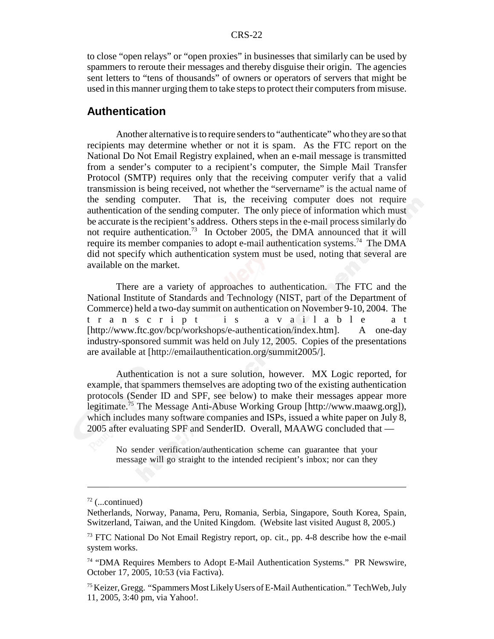to close "open relays" or "open proxies" in businesses that similarly can be used by spammers to reroute their messages and thereby disguise their origin. The agencies sent letters to "tens of thousands" of owners or operators of servers that might be used in this manner urging them to take steps to protect their computers from misuse.

#### **Authentication**

Another alternative is to require senders to "authenticate" who they are so that recipients may determine whether or not it is spam. As the FTC report on the National Do Not Email Registry explained, when an e-mail message is transmitted from a sender's computer to a recipient's computer, the Simple Mail Transfer Protocol (SMTP) requires only that the receiving computer verify that a valid transmission is being received, not whether the "servername" is the actual name of the sending computer. That is, the receiving computer does not require authentication of the sending computer. The only piece of information which must be accurate is the recipient's address. Others steps in the e-mail process similarly do not require authentication.<sup>73</sup> In October 2005, the DMA announced that it will require its member companies to adopt e-mail authentication systems.<sup>74</sup> The DMA did not specify which authentication system must be used, noting that several are available on the market.

There are a variety of approaches to authentication. The FTC and the National Institute of Standards and Technology (NIST, part of the Department of Commerce) held a two-day summit on authentication on November 9-10, 2004. The transcript is available at [http://www.ftc.gov/bcp/workshops/e-authentication/index.htm]. A one-day industry-sponsored summit was held on July 12, 2005. Copies of the presentations are available at [http://emailauthentication.org/summit2005/].

Authentication is not a sure solution, however. MX Logic reported, for example, that spammers themselves are adopting two of the existing authentication protocols (Sender ID and SPF, see below) to make their messages appear more legitimate.75 The Message Anti-Abuse Working Group [http://www.maawg.org]), which includes many software companies and ISPs, issued a white paper on July 8, 2005 after evaluating SPF and SenderID. Overall, MAAWG concluded that —

No sender verification/authentication scheme can guarantee that your message will go straight to the intended recipient's inbox; nor can they

 $72$  (...continued)

Netherlands, Norway, Panama, Peru, Romania, Serbia, Singapore, South Korea, Spain, Switzerland, Taiwan, and the United Kingdom. (Website last visited August 8, 2005.)

<sup>&</sup>lt;sup>73</sup> FTC National Do Not Email Registry report, op. cit., pp. 4-8 describe how the e-mail system works.

<sup>74 &</sup>quot;DMA Requires Members to Adopt E-Mail Authentication Systems." PR Newswire, October 17, 2005, 10:53 (via Factiva).

<sup>&</sup>lt;sup>75</sup> Keizer, Gregg. "Spammers Most Likely Users of E-Mail Authentication." TechWeb, July 11, 2005, 3:40 pm, via Yahoo!.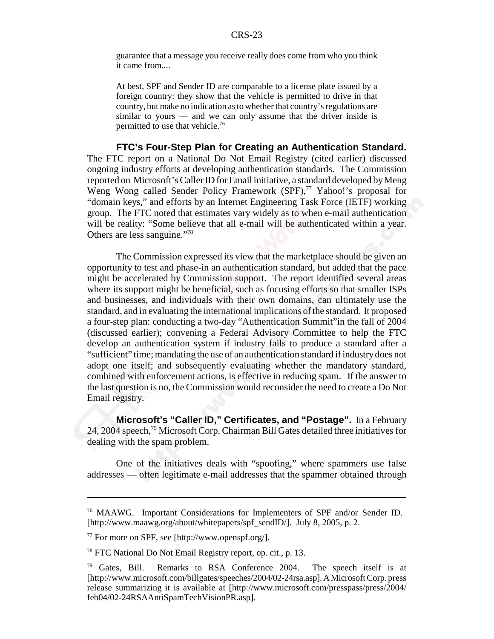guarantee that a message you receive really does come from who you think it came from....

At best, SPF and Sender ID are comparable to a license plate issued by a foreign country: they show that the vehicle is permitted to drive in that country, but make no indication as to whether that country's regulations are similar to yours — and we can only assume that the driver inside is permitted to use that vehicle.76

**FTC's Four-Step Plan for Creating an Authentication Standard.** The FTC report on a National Do Not Email Registry (cited earlier) discussed ongoing industry efforts at developing authentication standards. The Commission reported on Microsoft's Caller ID for Email initiative, a standard developed by Meng Weng Wong called Sender Policy Framework  $(SPF)$ ,<sup>77</sup> Yahoo!'s proposal for "domain keys," and efforts by an Internet Engineering Task Force (IETF) working group. The FTC noted that estimates vary widely as to when e-mail authentication will be reality: "Some believe that all e-mail will be authenticated within a year. Others are less sanguine."78

The Commission expressed its view that the marketplace should be given an opportunity to test and phase-in an authentication standard, but added that the pace might be accelerated by Commission support. The report identified several areas where its support might be beneficial, such as focusing efforts so that smaller ISPs and businesses, and individuals with their own domains, can ultimately use the standard, and in evaluating the international implications of the standard. It proposed a four-step plan: conducting a two-day "Authentication Summit"in the fall of 2004 (discussed earlier); convening a Federal Advisory Committee to help the FTC develop an authentication system if industry fails to produce a standard after a "sufficient" time; mandating the use of an authentication standard if industry does not adopt one itself; and subsequently evaluating whether the mandatory standard, combined with enforcement actions, is effective in reducing spam. If the answer to the last question is no, the Commission would reconsider the need to create a Do Not Email registry.

**Microsoft's "Caller ID," Certificates, and "Postage".** In a February 24, 2004 speech,79 Microsoft Corp. Chairman Bill Gates detailed three initiatives for dealing with the spam problem.

One of the initiatives deals with "spoofing," where spammers use false addresses — often legitimate e-mail addresses that the spammer obtained through

<sup>76</sup> MAAWG. Important Considerations for Implementers of SPF and/or Sender ID. [http://www.maawg.org/about/whitepapers/spf\_sendID/]. July 8, 2005, p. 2.

 $^{77}$  For more on SPF, see [http://www.openspf.org/].

<sup>78</sup> FTC National Do Not Email Registry report, op. cit., p. 13.

 $79$  Gates, Bill. Remarks to RSA Conference 2004. The speech itself is at [http://www.microsoft.com/billgates/speeches/2004/02-24rsa.asp]. A Microsoft Corp. press release summarizing it is available at [http://www.microsoft.com/presspass/press/2004/ feb04/02-24RSAAntiSpamTechVisionPR.asp].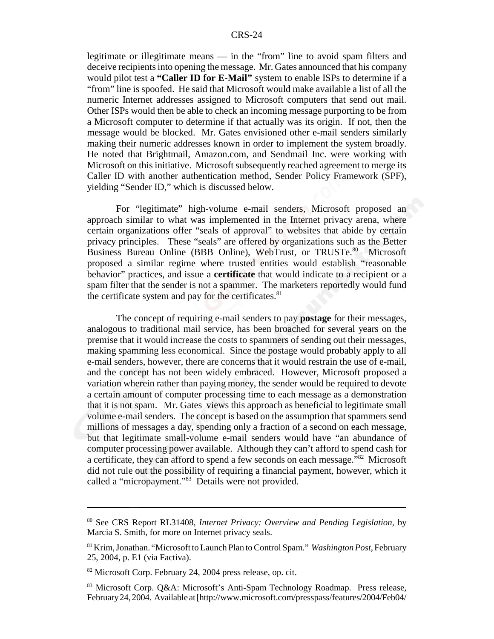legitimate or illegitimate means — in the "from" line to avoid spam filters and deceive recipients into opening the message. Mr. Gates announced that his company would pilot test a **"Caller ID for E-Mail"** system to enable ISPs to determine if a "from" line is spoofed. He said that Microsoft would make available a list of all the numeric Internet addresses assigned to Microsoft computers that send out mail. Other ISPs would then be able to check an incoming message purporting to be from a Microsoft computer to determine if that actually was its origin. If not, then the message would be blocked. Mr. Gates envisioned other e-mail senders similarly making their numeric addresses known in order to implement the system broadly. He noted that Brightmail, Amazon.com, and Sendmail Inc. were working with Microsoft on this initiative. Microsoft subsequently reached agreement to merge its Caller ID with another authentication method, Sender Policy Framework (SPF), yielding "Sender ID," which is discussed below.

For "legitimate" high-volume e-mail senders, Microsoft proposed an approach similar to what was implemented in the Internet privacy arena, where certain organizations offer "seals of approval" to websites that abide by certain privacy principles. These "seals" are offered by organizations such as the Better Business Bureau Online (BBB Online), WebTrust, or TRUSTe.<sup>80</sup> Microsoft proposed a similar regime where trusted entities would establish "reasonable behavior" practices, and issue a **certificate** that would indicate to a recipient or a spam filter that the sender is not a spammer. The marketers reportedly would fund the certificate system and pay for the certificates.<sup>81</sup>

The concept of requiring e-mail senders to pay **postage** for their messages, analogous to traditional mail service, has been broached for several years on the premise that it would increase the costs to spammers of sending out their messages, making spamming less economical. Since the postage would probably apply to all e-mail senders, however, there are concerns that it would restrain the use of e-mail, and the concept has not been widely embraced. However, Microsoft proposed a variation wherein rather than paying money, the sender would be required to devote a certain amount of computer processing time to each message as a demonstration that it is not spam. Mr. Gates views this approach as beneficial to legitimate small volume e-mail senders. The concept is based on the assumption that spammers send millions of messages a day, spending only a fraction of a second on each message, but that legitimate small-volume e-mail senders would have "an abundance of computer processing power available. Although they can't afford to spend cash for a certificate, they can afford to spend a few seconds on each message."82 Microsoft did not rule out the possibility of requiring a financial payment, however, which it called a "micropayment."83 Details were not provided.

<sup>80</sup> See CRS Report RL31408, *Internet Privacy: Overview and Pending Legislation*, by Marcia S. Smith, for more on Internet privacy seals.

<sup>81</sup> Krim, Jonathan. "Microsoft to Launch Plan to Control Spam." *Washington Post*, February 25, 2004, p. E1 (via Factiva).

<sup>82</sup> Microsoft Corp. February 24, 2004 press release, op. cit.

<sup>83</sup> Microsoft Corp. Q&A: Microsoft's Anti-Spam Technology Roadmap. Press release, February 24, 2004. Available at [http://www.microsoft.com/presspass/features/2004/Feb04/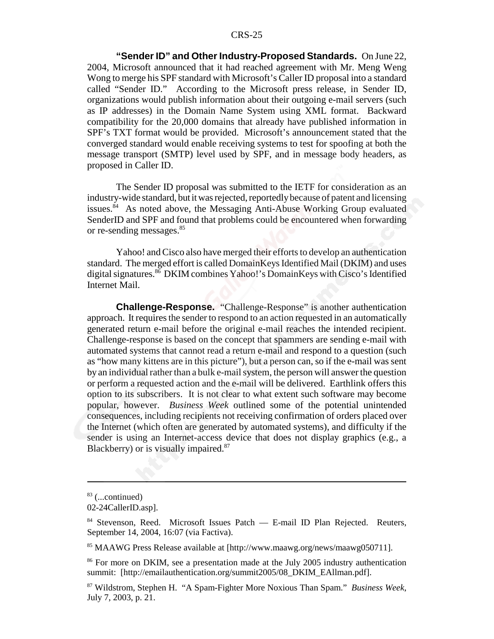**"Sender ID" and Other Industry-Proposed Standards.** On June 22, 2004, Microsoft announced that it had reached agreement with Mr. Meng Weng Wong to merge his SPF standard with Microsoft's Caller ID proposal into a standard called "Sender ID." According to the Microsoft press release, in Sender ID, organizations would publish information about their outgoing e-mail servers (such as IP addresses) in the Domain Name System using XML format. Backward compatibility for the 20,000 domains that already have published information in SPF's TXT format would be provided. Microsoft's announcement stated that the converged standard would enable receiving systems to test for spoofing at both the message transport (SMTP) level used by SPF, and in message body headers, as proposed in Caller ID.

The Sender ID proposal was submitted to the IETF for consideration as an industry-wide standard, but it was rejected, reportedly because of patent and licensing issues.<sup>84</sup> As noted above, the Messaging Anti-Abuse Working Group evaluated SenderID and SPF and found that problems could be encountered when forwarding or re-sending messages.<sup>85</sup>

Yahoo! and Cisco also have merged their efforts to develop an authentication standard. The merged effort is called DomainKeys Identified Mail (DKIM) and uses digital signatures.<sup>86</sup> DKIM combines Yahoo!'s DomainKeys with Cisco's Identified Internet Mail.

**Challenge-Response.** "Challenge-Response" is another authentication approach. It requires the sender to respond to an action requested in an automatically generated return e-mail before the original e-mail reaches the intended recipient. Challenge-response is based on the concept that spammers are sending e-mail with automated systems that cannot read a return e-mail and respond to a question (such as "how many kittens are in this picture"), but a person can, so if the e-mail was sent by an individual rather than a bulk e-mail system, the person will answer the question or perform a requested action and the e-mail will be delivered. Earthlink offers this option to its subscribers. It is not clear to what extent such software may become popular, however. *Business Week* outlined some of the potential unintended consequences, including recipients not receiving confirmation of orders placed over the Internet (which often are generated by automated systems), and difficulty if the sender is using an Internet-access device that does not display graphics (e.g., a Blackberry) or is visually impaired.<sup>87</sup>

85 MAAWG Press Release available at [http://www.maawg.org/news/maawg050711].

 $83$  (...continued)

<sup>02-24</sup>CallerID.asp].

 $84$  Stevenson, Reed. Microsoft Issues Patch — E-mail ID Plan Rejected. Reuters, September 14, 2004, 16:07 (via Factiva).

<sup>&</sup>lt;sup>86</sup> For more on DKIM, see a presentation made at the July 2005 industry authentication summit: [http://emailauthentication.org/summit2005/08\_DKIM\_EAllman.pdf].

<sup>87</sup> Wildstrom, Stephen H. "A Spam-Fighter More Noxious Than Spam." *Business Week*, July 7, 2003, p. 21.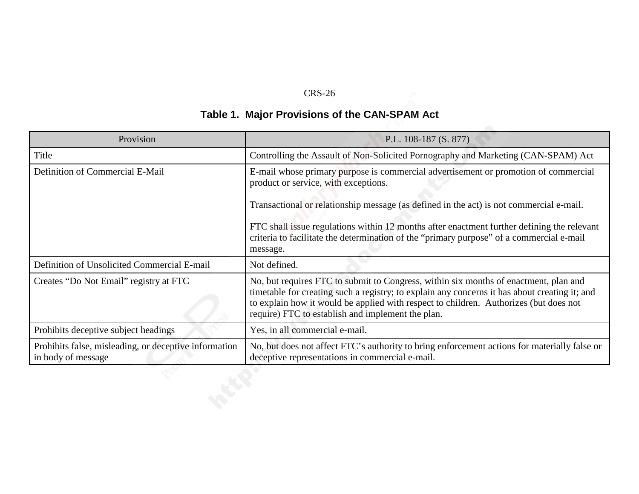## **Table 1. Major Provisions of the CAN-SPAM Act**

| Provision                                                                   | P.L. 108-187 (S. 877)                                                                                                                                                                                                                                                                                                               |
|-----------------------------------------------------------------------------|-------------------------------------------------------------------------------------------------------------------------------------------------------------------------------------------------------------------------------------------------------------------------------------------------------------------------------------|
| Title                                                                       | Controlling the Assault of Non-Solicited Pornography and Marketing (CAN-SPAM) Act                                                                                                                                                                                                                                                   |
| Definition of Commercial E-Mail                                             | E-mail whose primary purpose is commercial advertisement or promotion of commercial<br>product or service, with exceptions.<br>Transactional or relationship message (as defined in the act) is not commercial e-mail.                                                                                                              |
|                                                                             | FTC shall issue regulations within 12 months after enactment further defining the relevant<br>criteria to facilitate the determination of the "primary purpose" of a commercial e-mail<br>message.                                                                                                                                  |
| Definition of Unsolicited Commercial E-mail                                 | Not defined.                                                                                                                                                                                                                                                                                                                        |
| Creates "Do Not Email" registry at FTC                                      | No, but requires FTC to submit to Congress, within six months of enactment, plan and<br>timetable for creating such a registry; to explain any concerns it has about creating it; and<br>to explain how it would be applied with respect to children. Authorizes (but does not<br>require) FTC to establish and implement the plan. |
| Prohibits deceptive subject headings                                        | Yes, in all commercial e-mail.                                                                                                                                                                                                                                                                                                      |
| Prohibits false, misleading, or deceptive information<br>in body of message | No, but does not affect FTC's authority to bring enforcement actions for materially false or<br>deceptive representations in commercial e-mail.                                                                                                                                                                                     |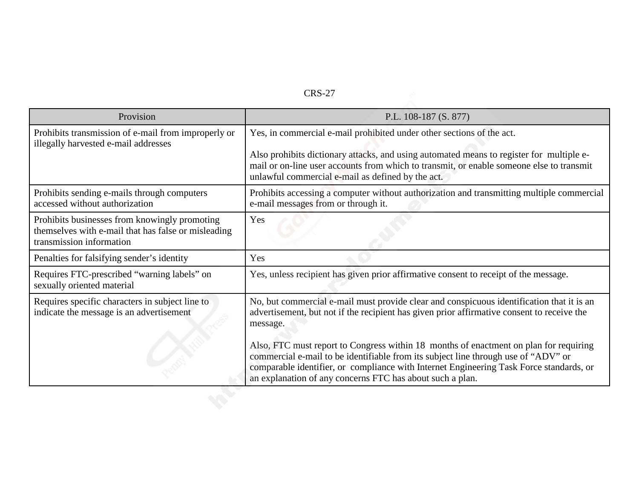| Ξ |
|---|
|---|

| <b>CRS-27</b>                                                                                                                    |                                                                                                                                                                                                                                                                                                                                                                                                                                                                                                                                            |  |
|----------------------------------------------------------------------------------------------------------------------------------|--------------------------------------------------------------------------------------------------------------------------------------------------------------------------------------------------------------------------------------------------------------------------------------------------------------------------------------------------------------------------------------------------------------------------------------------------------------------------------------------------------------------------------------------|--|
| Provision                                                                                                                        | P.L. 108-187 (S. 877)                                                                                                                                                                                                                                                                                                                                                                                                                                                                                                                      |  |
| Prohibits transmission of e-mail from improperly or<br>illegally harvested e-mail addresses                                      | Yes, in commercial e-mail prohibited under other sections of the act.<br>Also prohibits dictionary attacks, and using automated means to register for multiple e-<br>mail or on-line user accounts from which to transmit, or enable someone else to transmit<br>unlawful commercial e-mail as defined by the act.                                                                                                                                                                                                                         |  |
| Prohibits sending e-mails through computers<br>accessed without authorization                                                    | Prohibits accessing a computer without authorization and transmitting multiple commercial<br>e-mail messages from or through it.                                                                                                                                                                                                                                                                                                                                                                                                           |  |
| Prohibits businesses from knowingly promoting<br>themselves with e-mail that has false or misleading<br>transmission information | Yes                                                                                                                                                                                                                                                                                                                                                                                                                                                                                                                                        |  |
| Penalties for falsifying sender's identity                                                                                       | Yes                                                                                                                                                                                                                                                                                                                                                                                                                                                                                                                                        |  |
| Requires FTC-prescribed "warning labels" on<br>sexually oriented material                                                        | Yes, unless recipient has given prior affirmative consent to receipt of the message.                                                                                                                                                                                                                                                                                                                                                                                                                                                       |  |
| Requires specific characters in subject line to<br>indicate the message is an advertisement                                      | No, but commercial e-mail must provide clear and conspicuous identification that it is an<br>advertisement, but not if the recipient has given prior affirmative consent to receive the<br>message.<br>Also, FTC must report to Congress within 18 months of enactment on plan for requiring<br>commercial e-mail to be identifiable from its subject line through use of "ADV" or<br>comparable identifier, or compliance with Internet Engineering Task Force standards, or<br>an explanation of any concerns FTC has about such a plan. |  |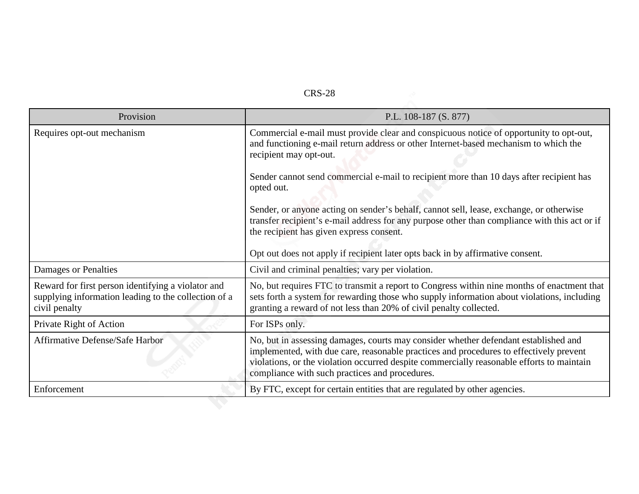| Provision                                                                                                                   | P.L. 108-187 (S. 877)                                                                                                                                                                                                                                                                                                        |
|-----------------------------------------------------------------------------------------------------------------------------|------------------------------------------------------------------------------------------------------------------------------------------------------------------------------------------------------------------------------------------------------------------------------------------------------------------------------|
| Requires opt-out mechanism                                                                                                  | Commercial e-mail must provide clear and conspicuous notice of opportunity to opt-out,<br>and functioning e-mail return address or other Internet-based mechanism to which the<br>recipient may opt-out.                                                                                                                     |
|                                                                                                                             | Sender cannot send commercial e-mail to recipient more than 10 days after recipient has<br>opted out.                                                                                                                                                                                                                        |
|                                                                                                                             | Sender, or anyone acting on sender's behalf, cannot sell, lease, exchange, or otherwise<br>transfer recipient's e-mail address for any purpose other than compliance with this act or if<br>the recipient has given express consent.                                                                                         |
|                                                                                                                             | Opt out does not apply if recipient later opts back in by affirmative consent.                                                                                                                                                                                                                                               |
| Damages or Penalties                                                                                                        | Civil and criminal penalties; vary per violation.                                                                                                                                                                                                                                                                            |
| Reward for first person identifying a violator and<br>supplying information leading to the collection of a<br>civil penalty | No, but requires FTC to transmit a report to Congress within nine months of enactment that<br>sets forth a system for rewarding those who supply information about violations, including<br>granting a reward of not less than 20% of civil penalty collected.                                                               |
| Private Right of Action                                                                                                     | For ISPs only.                                                                                                                                                                                                                                                                                                               |
| <b>Affirmative Defense/Safe Harbor</b>                                                                                      | No, but in assessing damages, courts may consider whether defendant established and<br>implemented, with due care, reasonable practices and procedures to effectively prevent<br>violations, or the violation occurred despite commercially reasonable efforts to maintain<br>compliance with such practices and procedures. |
| Enforcement                                                                                                                 | By FTC, except for certain entities that are regulated by other agencies.                                                                                                                                                                                                                                                    |